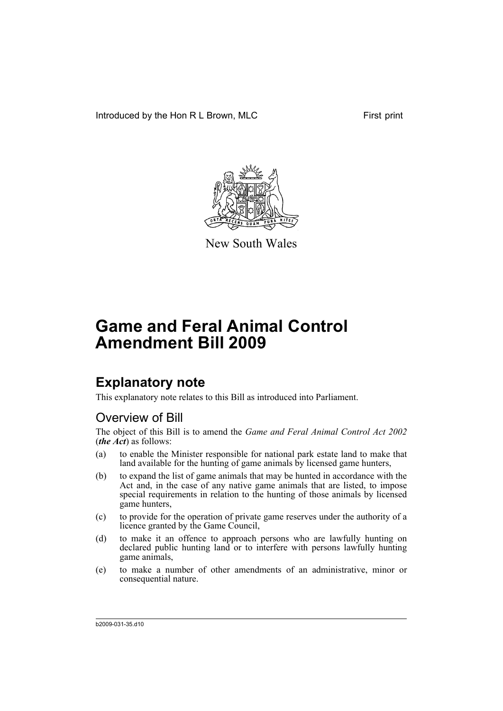Introduced by the Hon R L Brown, MLC First print



New South Wales

# **Game and Feral Animal Control Amendment Bill 2009**

## **Explanatory note**

This explanatory note relates to this Bill as introduced into Parliament.

## Overview of Bill

The object of this Bill is to amend the *Game and Feral Animal Control Act 2002* (*the Act*) as follows:

- (a) to enable the Minister responsible for national park estate land to make that land available for the hunting of game animals by licensed game hunters,
- (b) to expand the list of game animals that may be hunted in accordance with the Act and, in the case of any native game animals that are listed, to impose special requirements in relation to the hunting of those animals by licensed game hunters,
- (c) to provide for the operation of private game reserves under the authority of a licence granted by the Game Council,
- (d) to make it an offence to approach persons who are lawfully hunting on declared public hunting land or to interfere with persons lawfully hunting game animals,
- (e) to make a number of other amendments of an administrative, minor or consequential nature.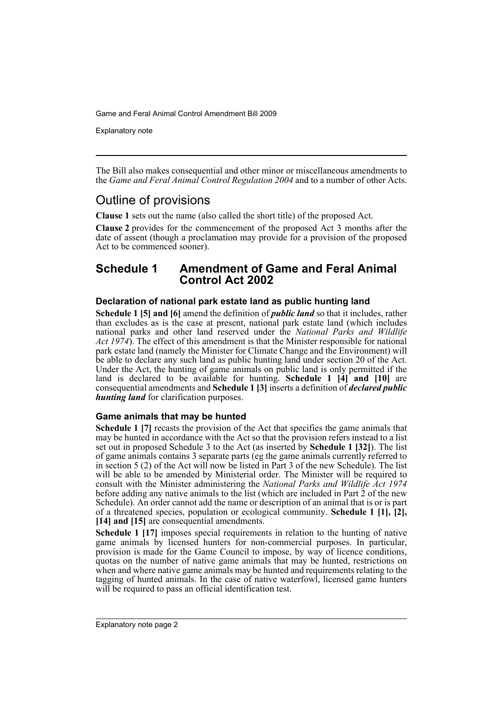Explanatory note

The Bill also makes consequential and other minor or miscellaneous amendments to the *Game and Feral Animal Control Regulation 2004* and to a number of other Acts.

## Outline of provisions

**Clause 1** sets out the name (also called the short title) of the proposed Act.

**Clause 2** provides for the commencement of the proposed Act 3 months after the date of assent (though a proclamation may provide for a provision of the proposed Act to be commenced sooner).

## **Schedule 1 Amendment of Game and Feral Animal Control Act 2002**

## **Declaration of national park estate land as public hunting land**

**Schedule 1 [5] and [6]** amend the definition of *public land* so that it includes, rather than excludes as is the case at present, national park estate land (which includes national parks and other land reserved under the *National Parks and Wildlife Act 1974*). The effect of this amendment is that the Minister responsible for national park estate land (namely the Minister for Climate Change and the Environment) will be able to declare any such land as public hunting land under section 20 of the Act. Under the Act, the hunting of game animals on public land is only permitted if the land is declared to be available for hunting. **Schedule 1 [4] and [10]** are consequential amendments and **Schedule 1 [3]** inserts a definition of *declared public hunting land* for clarification purposes.

### **Game animals that may be hunted**

**Schedule 1 [7] recasts the provision of the Act that specifies the game animals that** may be hunted in accordance with the Act so that the provision refers instead to a list set out in proposed Schedule 3 to the Act (as inserted by **Schedule 1 [32]**). The list of game animals contains 3 separate parts (eg the game animals currently referred to in section 5 (2) of the Act will now be listed in Part 3 of the new Schedule). The list will be able to be amended by Ministerial order. The Minister will be required to consult with the Minister administering the *National Parks and Wildlife Act 1974* before adding any native animals to the list (which are included in Part  $\tilde{2}$  of the new Schedule). An order cannot add the name or description of an animal that is or is part of a threatened species, population or ecological community. **Schedule 1 [1], [2], [14] and [15]** are consequential amendments.

**Schedule 1 [17]** imposes special requirements in relation to the hunting of native game animals by licensed hunters for non-commercial purposes. In particular, provision is made for the Game Council to impose, by way of licence conditions, quotas on the number of native game animals that may be hunted, restrictions on when and where native game animals may be hunted and requirements relating to the tagging of hunted animals. In the case of native waterfowl, licensed game hunters will be required to pass an official identification test.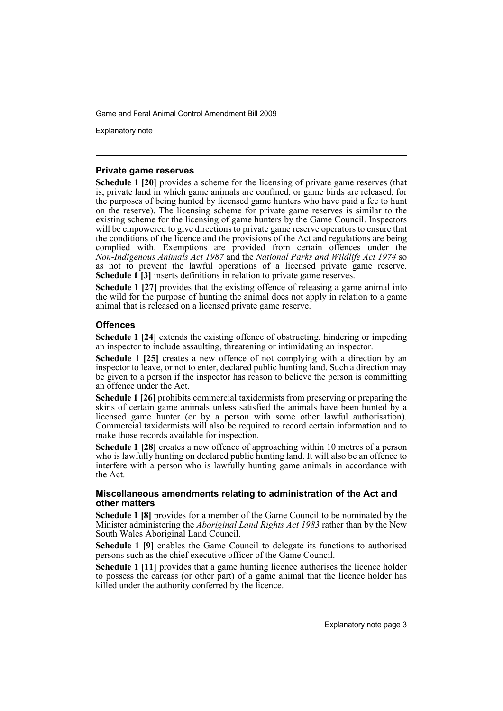Explanatory note

#### **Private game reserves**

**Schedule 1 [20]** provides a scheme for the licensing of private game reserves (that is, private land in which game animals are confined, or game birds are released, for the purposes of being hunted by licensed game hunters who have paid a fee to hunt on the reserve). The licensing scheme for private game reserves is similar to the existing scheme for the licensing of game hunters by the Game Council. Inspectors will be empowered to give directions to private game reserve operators to ensure that the conditions of the licence and the provisions of the Act and regulations are being complied with. Exemptions are provided from certain offences under the *Non-Indigenous Animals Act 1987* and the *National Parks and Wildlife Act 1974* so as not to prevent the lawful operations of a licensed private game reserve. **Schedule 1 [3]** inserts definitions in relation to private game reserves.

**Schedule 1 [27]** provides that the existing offence of releasing a game animal into the wild for the purpose of hunting the animal does not apply in relation to a game animal that is released on a licensed private game reserve.

## **Offences**

**Schedule 1 [24]** extends the existing offence of obstructing, hindering or impeding an inspector to include assaulting, threatening or intimidating an inspector.

**Schedule 1 [25]** creates a new offence of not complying with a direction by an inspector to leave, or not to enter, declared public hunting land. Such a direction may be given to a person if the inspector has reason to believe the person is committing an offence under the Act.

**Schedule 1 [26]** prohibits commercial taxidermists from preserving or preparing the skins of certain game animals unless satisfied the animals have been hunted by a licensed game hunter (or by a person with some other lawful authorisation). Commercial taxidermists will also be required to record certain information and to make those records available for inspection.

**Schedule 1 [28]** creates a new offence of approaching within 10 metres of a person who is lawfully hunting on declared public hunting land. It will also be an offence to interfere with a person who is lawfully hunting game animals in accordance with the Act.

### **Miscellaneous amendments relating to administration of the Act and other matters**

**Schedule 1 [8]** provides for a member of the Game Council to be nominated by the Minister administering the *Aboriginal Land Rights Act 1983* rather than by the New South Wales Aboriginal Land Council.

**Schedule 1 [9]** enables the Game Council to delegate its functions to authorised persons such as the chief executive officer of the Game Council.

**Schedule 1 [11]** provides that a game hunting licence authorises the licence holder to possess the carcass (or other part) of a game animal that the licence holder has killed under the authority conferred by the licence.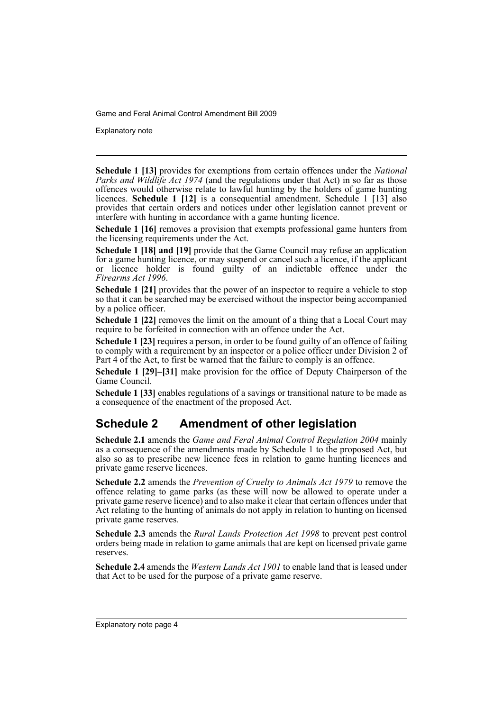Explanatory note

**Schedule 1 [13]** provides for exemptions from certain offences under the *National Parks and Wildlife Act 1974* (and the regulations under that Act) in so far as those offences would otherwise relate to lawful hunting by the holders of game hunting licences. **Schedule 1 [12]** is a consequential amendment. Schedule 1 [13] also provides that certain orders and notices under other legislation cannot prevent or interfere with hunting in accordance with a game hunting licence.

**Schedule 1 [16]** removes a provision that exempts professional game hunters from the licensing requirements under the Act.

**Schedule 1 [18] and [19]** provide that the Game Council may refuse an application for a game hunting licence, or may suspend or cancel such a licence, if the applicant or licence holder is found guilty of an indictable offence under the *Firearms Act 1996*.

**Schedule 1 [21]** provides that the power of an inspector to require a vehicle to stop so that it can be searched may be exercised without the inspector being accompanied by a police officer.

**Schedule 1 [22] removes the limit on the amount of a thing that a Local Court may** require to be forfeited in connection with an offence under the Act.

**Schedule 1 [23]** requires a person, in order to be found guilty of an offence of failing to comply with a requirement by an inspector or a police officer under Division 2 of Part 4 of the Act, to first be warned that the failure to comply is an offence.

**Schedule 1 [29]–[31]** make provision for the office of Deputy Chairperson of the Game Council.

**Schedule 1 [33]** enables regulations of a savings or transitional nature to be made as a consequence of the enactment of the proposed Act.

## **Schedule 2 Amendment of other legislation**

**Schedule 2.1** amends the *Game and Feral Animal Control Regulation 2004* mainly as a consequence of the amendments made by Schedule 1 to the proposed Act, but also so as to prescribe new licence fees in relation to game hunting licences and private game reserve licences.

**Schedule 2.2** amends the *Prevention of Cruelty to Animals Act 1979* to remove the offence relating to game parks (as these will now be allowed to operate under a private game reserve licence) and to also make it clear that certain offences under that Act relating to the hunting of animals do not apply in relation to hunting on licensed private game reserves.

**Schedule 2.3** amends the *Rural Lands Protection Act 1998* to prevent pest control orders being made in relation to game animals that are kept on licensed private game reserves.

**Schedule 2.4** amends the *Western Lands Act 1901* to enable land that is leased under that Act to be used for the purpose of a private game reserve.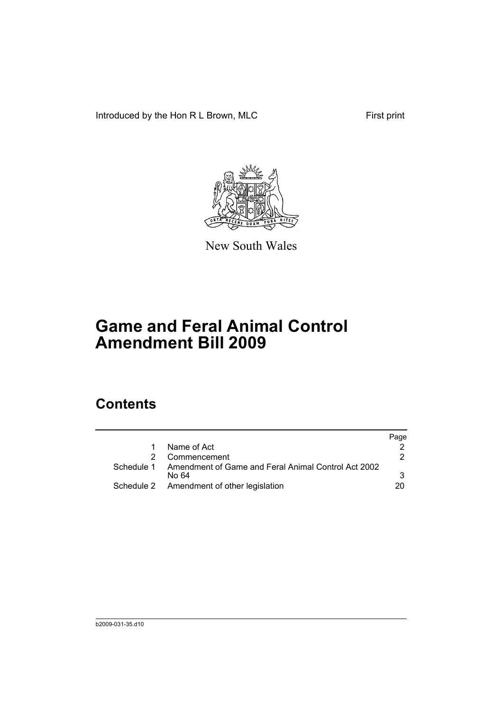Introduced by the Hon R L Brown, MLC First print



New South Wales

# **Game and Feral Animal Control Amendment Bill 2009**

## **Contents**

|            |                                                              | Page |
|------------|--------------------------------------------------------------|------|
|            | Name of Act                                                  |      |
|            | 2 Commencement                                               | 2    |
| Schedule 1 | Amendment of Game and Feral Animal Control Act 2002<br>No 64 | 3    |
|            | Schedule 2 Amendment of other legislation                    | 20.  |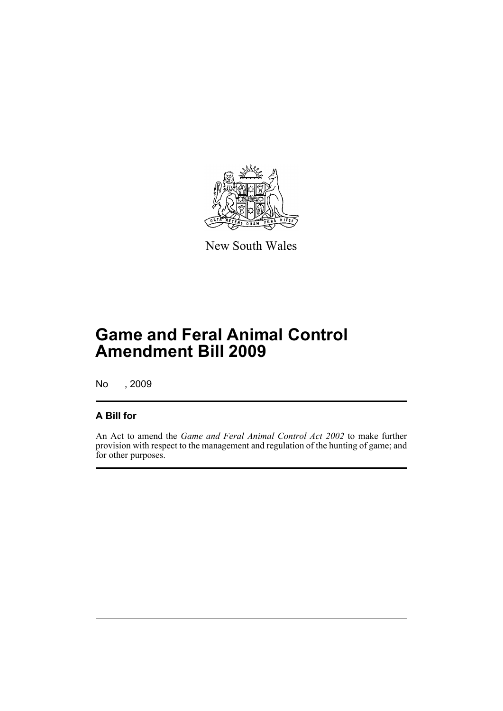

New South Wales

## **Game and Feral Animal Control Amendment Bill 2009**

No , 2009

## **A Bill for**

An Act to amend the *Game and Feral Animal Control Act 2002* to make further provision with respect to the management and regulation of the hunting of game; and for other purposes.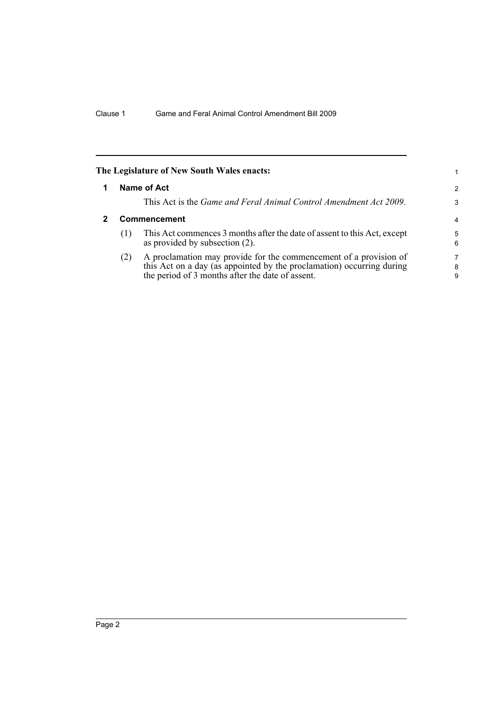<span id="page-7-1"></span><span id="page-7-0"></span>

|                     | The Legislature of New South Wales enacts:                                                                                                                                                     | 1.          |
|---------------------|------------------------------------------------------------------------------------------------------------------------------------------------------------------------------------------------|-------------|
|                     | Name of Act                                                                                                                                                                                    | 2           |
|                     | This Act is the <i>Game and Feral Animal Control Amendment Act 2009</i> .                                                                                                                      | 3           |
| <b>Commencement</b> |                                                                                                                                                                                                |             |
| (1)                 | This Act commences 3 months after the date of assent to this Act, except<br>as provided by subsection (2).                                                                                     | 5<br>6      |
| (2)                 | A proclamation may provide for the commencement of a provision of<br>this Act on a day (as appointed by the proclamation) occurring during<br>the period of 3 months after the date of assent. | 7<br>8<br>9 |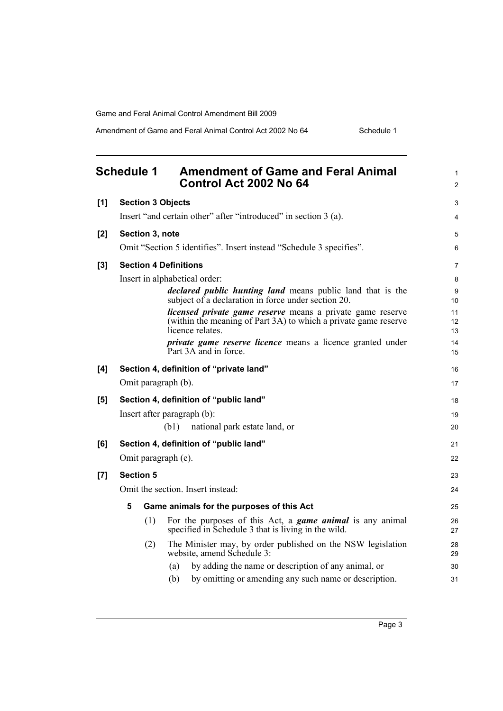Amendment of Game and Feral Animal Control Act 2002 No 64 Schedule 1

<span id="page-8-0"></span>

|     | <b>Schedule 1</b><br><b>Amendment of Game and Feral Animal</b><br>Control Act 2002 No 64                                                                 | 1<br>$\overline{c}$ |
|-----|----------------------------------------------------------------------------------------------------------------------------------------------------------|---------------------|
| [1] | <b>Section 3 Objects</b>                                                                                                                                 | 3                   |
|     | Insert "and certain other" after "introduced" in section 3 (a).                                                                                          | 4                   |
| [2] | Section 3, note                                                                                                                                          | 5                   |
|     | Omit "Section 5 identifies". Insert instead "Schedule 3 specifies".                                                                                      | 6                   |
| [3] | <b>Section 4 Definitions</b>                                                                                                                             | 7                   |
|     | Insert in alphabetical order:                                                                                                                            | 8                   |
|     | <i>declared public hunting land</i> means public land that is the<br>subject of a declaration in force under section 20.                                 | 9<br>10             |
|     | <i>licensed private game reserve</i> means a private game reserve<br>(within the meaning of Part 3A) to which a private game reserve<br>licence relates. | 11<br>12<br>13      |
|     | <i>private game reserve licence</i> means a licence granted under<br>Part 3A and in force.                                                               | 14<br>15            |
| [4] | Section 4, definition of "private land"                                                                                                                  | 16                  |
|     | Omit paragraph (b).                                                                                                                                      | 17                  |
| [5] | Section 4, definition of "public land"                                                                                                                   | 18                  |
|     | Insert after paragraph (b):                                                                                                                              | 19                  |
|     | national park estate land, or<br>(b1)                                                                                                                    | 20                  |
| [6] | Section 4, definition of "public land"                                                                                                                   | 21                  |
|     | Omit paragraph (e).                                                                                                                                      | 22                  |
| [7] | <b>Section 5</b>                                                                                                                                         | 23                  |
|     | Omit the section. Insert instead:                                                                                                                        | 24                  |
|     | 5<br>Game animals for the purposes of this Act                                                                                                           | 25                  |
|     | For the purposes of this Act, a <b><i>game animal</i></b> is any animal<br>(1)<br>specified in Schedule 3 that is living in the wild.                    | 26<br>27            |
|     | The Minister may, by order published on the NSW legislation<br>(2)<br>website, amend Schedule 3:                                                         | 28<br>29            |
|     | by adding the name or description of any animal, or<br>(a)                                                                                               | 30                  |
|     | (b)<br>by omitting or amending any such name or description.                                                                                             | 31                  |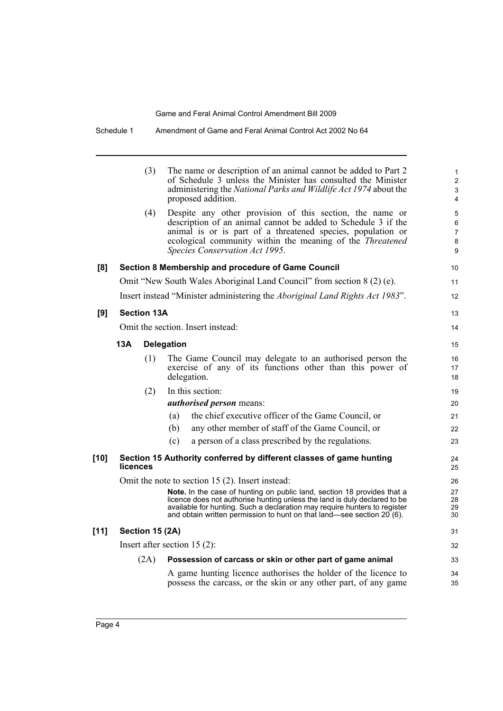|        |          | (3)                | The name or description of an animal cannot be added to Part 2<br>of Schedule 3 unless the Minister has consulted the Minister<br>administering the National Parks and Wildlife Act 1974 about the<br>proposed addition.                                                                                    | $\mathbf{1}$<br>$\overline{2}$<br>$\mathbf{3}$<br>4 |
|--------|----------|--------------------|-------------------------------------------------------------------------------------------------------------------------------------------------------------------------------------------------------------------------------------------------------------------------------------------------------------|-----------------------------------------------------|
|        |          | (4)                | Despite any other provision of this section, the name or<br>description of an animal cannot be added to Schedule 3 if the<br>animal is or is part of a threatened species, population or<br>ecological community within the meaning of the <i>Threatened</i><br>Species Conservation Act 1995.              | 5<br>6<br>$\overline{7}$<br>8<br>9                  |
| [8]    |          |                    | Section 8 Membership and procedure of Game Council                                                                                                                                                                                                                                                          | 10                                                  |
|        |          |                    | Omit "New South Wales Aboriginal Land Council" from section 8 (2) (e).                                                                                                                                                                                                                                      | 11                                                  |
|        |          |                    | Insert instead "Minister administering the Aboriginal Land Rights Act 1983".                                                                                                                                                                                                                                | 12                                                  |
| [9]    |          | <b>Section 13A</b> |                                                                                                                                                                                                                                                                                                             | 13                                                  |
|        |          |                    | Omit the section. Insert instead:                                                                                                                                                                                                                                                                           | 14                                                  |
|        | 13A      |                    | <b>Delegation</b>                                                                                                                                                                                                                                                                                           | 15                                                  |
|        |          | (1)                | The Game Council may delegate to an authorised person the<br>exercise of any of its functions other than this power of<br>delegation.                                                                                                                                                                       | 16<br>17<br>18                                      |
|        |          | (2)                | In this section:                                                                                                                                                                                                                                                                                            | 19                                                  |
|        |          |                    | <i>authorised person</i> means:                                                                                                                                                                                                                                                                             | 20                                                  |
|        |          |                    | the chief executive officer of the Game Council, or<br>(a)                                                                                                                                                                                                                                                  | 21                                                  |
|        |          |                    | any other member of staff of the Game Council, or<br>(b)                                                                                                                                                                                                                                                    | 22                                                  |
|        |          |                    | a person of a class prescribed by the regulations.<br>(c)                                                                                                                                                                                                                                                   | 23                                                  |
| $[10]$ | licences |                    | Section 15 Authority conferred by different classes of game hunting                                                                                                                                                                                                                                         | 24<br>25                                            |
|        |          |                    | Omit the note to section 15 (2). Insert instead:                                                                                                                                                                                                                                                            | 26                                                  |
|        |          |                    | Note. In the case of hunting on public land, section 18 provides that a<br>licence does not authorise hunting unless the land is duly declared to be<br>available for hunting. Such a declaration may require hunters to register<br>and obtain written permission to hunt on that land—see section 20 (6). | 27<br>28<br>29<br>30                                |
| [11]   |          | Section 15 (2A)    |                                                                                                                                                                                                                                                                                                             | 31                                                  |
|        |          |                    | Insert after section $15(2)$ :                                                                                                                                                                                                                                                                              | 32                                                  |
|        |          | (2A)               | Possession of carcass or skin or other part of game animal                                                                                                                                                                                                                                                  | 33                                                  |
|        |          |                    | A game hunting licence authorises the holder of the licence to<br>possess the carcass, or the skin or any other part, of any game                                                                                                                                                                           | 34<br>35                                            |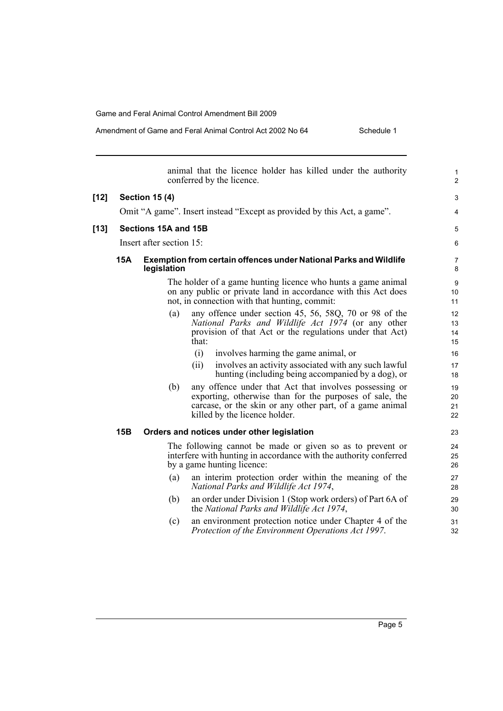## Amendment of Game and Feral Animal Control Act 2002 No 64 Schedule 1

|        |     | animal that the licence holder has killed under the authority<br>conferred by the licence.                                                                                                                            | 1<br>$\overline{c}$  |
|--------|-----|-----------------------------------------------------------------------------------------------------------------------------------------------------------------------------------------------------------------------|----------------------|
| $[12]$ |     | <b>Section 15 (4)</b>                                                                                                                                                                                                 | 3                    |
|        |     | Omit "A game". Insert instead "Except as provided by this Act, a game".                                                                                                                                               | 4                    |
| $[13]$ |     | Sections 15A and 15B                                                                                                                                                                                                  | 5                    |
|        |     | Insert after section 15:                                                                                                                                                                                              | 6                    |
|        | 15A | <b>Exemption from certain offences under National Parks and Wildlife</b><br>legislation                                                                                                                               | 7<br>8               |
|        |     | The holder of a game hunting licence who hunts a game animal<br>on any public or private land in accordance with this Act does<br>not, in connection with that hunting, commit:                                       | 9<br>10<br>11        |
|        |     | any offence under section 45, 56, 58Q, 70 or 98 of the<br>(a)<br>National Parks and Wildlife Act 1974 (or any other<br>provision of that Act or the regulations under that Act)<br>that:                              | 12<br>13<br>14<br>15 |
|        |     | (i)<br>involves harming the game animal, or<br>involves an activity associated with any such lawful<br>(ii)<br>hunting (including being accompanied by a dog), or                                                     | 16<br>17<br>18       |
|        |     | any offence under that Act that involves possessing or<br>(b)<br>exporting, otherwise than for the purposes of sale, the<br>carcase, or the skin or any other part, of a game animal<br>killed by the licence holder. | 19<br>20<br>21<br>22 |
|        | 15B | Orders and notices under other legislation                                                                                                                                                                            | 23                   |
|        |     | The following cannot be made or given so as to prevent or<br>interfere with hunting in accordance with the authority conferred<br>by a game hunting licence:                                                          | 24<br>25<br>26       |
|        |     | an interim protection order within the meaning of the<br>(a)<br>National Parks and Wildlife Act 1974,                                                                                                                 | 27<br>28             |
|        |     | (b)<br>an order under Division 1 (Stop work orders) of Part 6A of<br>the National Parks and Wildlife Act 1974,                                                                                                        | 29<br>30             |
|        |     | an environment protection notice under Chapter 4 of the<br>(c)<br>Protection of the Environment Operations Act 1997.                                                                                                  | 31<br>32             |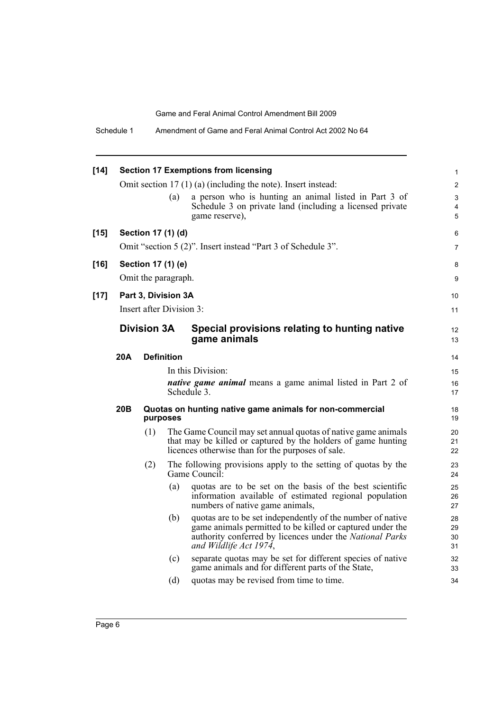| $[14]$ |     |                    |                          | <b>Section 17 Exemptions from licensing</b>                                                                                                                                                                   | $\mathbf{1}$         |
|--------|-----|--------------------|--------------------------|---------------------------------------------------------------------------------------------------------------------------------------------------------------------------------------------------------------|----------------------|
|        |     |                    |                          | Omit section $17(1)(a)$ (including the note). Insert instead:                                                                                                                                                 | $\overline{2}$       |
|        |     |                    | (a)                      | a person who is hunting an animal listed in Part 3 of<br>Schedule 3 on private land (including a licensed private<br>game reserve),                                                                           | 3<br>4<br>5          |
|        |     |                    |                          |                                                                                                                                                                                                               |                      |
| $[15]$ |     |                    | Section 17 (1) (d)       |                                                                                                                                                                                                               | 6                    |
|        |     |                    |                          | Omit "section 5 (2)". Insert instead "Part 3 of Schedule 3".                                                                                                                                                  | $\overline{7}$       |
| $[16]$ |     |                    | Section 17 (1) (e)       |                                                                                                                                                                                                               | 8                    |
|        |     |                    | Omit the paragraph.      |                                                                                                                                                                                                               | 9                    |
| $[17]$ |     |                    | Part 3, Division 3A      |                                                                                                                                                                                                               | 10                   |
|        |     |                    | Insert after Division 3: |                                                                                                                                                                                                               | 11                   |
|        |     | <b>Division 3A</b> |                          | Special provisions relating to hunting native<br>game animals                                                                                                                                                 | 12<br>13             |
|        | 20A |                    | <b>Definition</b>        |                                                                                                                                                                                                               | 14                   |
|        |     |                    |                          | In this Division:                                                                                                                                                                                             | 15                   |
|        |     |                    |                          | <i>native game animal</i> means a game animal listed in Part 2 of<br>Schedule 3.                                                                                                                              | 16<br>17             |
|        | 20B |                    | purposes                 | Quotas on hunting native game animals for non-commercial                                                                                                                                                      | 18<br>19             |
|        |     | (1)                |                          | The Game Council may set annual quotas of native game animals<br>that may be killed or captured by the holders of game hunting<br>licences otherwise than for the purposes of sale.                           | 20<br>21<br>22       |
|        |     | (2)                |                          | The following provisions apply to the setting of quotas by the<br>Game Council:                                                                                                                               | 23<br>24             |
|        |     |                    | (a)                      | quotas are to be set on the basis of the best scientific<br>information available of estimated regional population<br>numbers of native game animals,                                                         | 25<br>26<br>27       |
|        |     |                    | (b)                      | quotas are to be set independently of the number of native<br>game animals permitted to be killed or captured under the<br>authority conferred by licences under the National Parks<br>and Wildlife Act 1974, | 28<br>29<br>30<br>31 |
|        |     |                    | (c)                      | separate quotas may be set for different species of native<br>game animals and for different parts of the State,                                                                                              | 32<br>33             |
|        |     |                    | (d)                      | quotas may be revised from time to time.                                                                                                                                                                      | 34                   |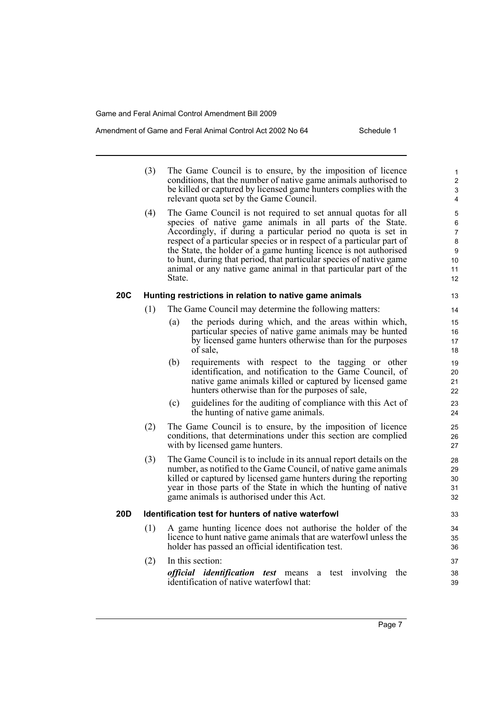#### Amendment of Game and Feral Animal Control Act 2002 No 64 Schedule 1

|                 | (3) | The Game Council is to ensure, by the imposition of licence<br>conditions, that the number of native game animals authorised to<br>be killed or captured by licensed game hunters complies with the<br>relevant quota set by the Game Council.                                                                                                                                                                                                                                                | $\mathbf{1}$<br>$\overline{2}$<br>3<br>4 |
|-----------------|-----|-----------------------------------------------------------------------------------------------------------------------------------------------------------------------------------------------------------------------------------------------------------------------------------------------------------------------------------------------------------------------------------------------------------------------------------------------------------------------------------------------|------------------------------------------|
|                 | (4) | The Game Council is not required to set annual quotas for all<br>species of native game animals in all parts of the State.<br>Accordingly, if during a particular period no quota is set in<br>respect of a particular species or in respect of a particular part of<br>the State, the holder of a game hunting licence is not authorised<br>to hunt, during that period, that particular species of native game<br>animal or any native game animal in that particular part of the<br>State. | 5<br>6<br>7<br>8<br>9<br>10<br>11<br>12  |
| <b>20C</b>      |     | Hunting restrictions in relation to native game animals                                                                                                                                                                                                                                                                                                                                                                                                                                       | 13                                       |
|                 | (1) | The Game Council may determine the following matters:                                                                                                                                                                                                                                                                                                                                                                                                                                         | 14                                       |
|                 |     | the periods during which, and the areas within which,<br>(a)<br>particular species of native game animals may be hunted<br>by licensed game hunters otherwise than for the purposes<br>of sale.                                                                                                                                                                                                                                                                                               | 15<br>16<br>17<br>18                     |
|                 |     | (b)<br>requirements with respect to the tagging or other<br>identification, and notification to the Game Council, of<br>native game animals killed or captured by licensed game<br>hunters otherwise than for the purposes of sale,                                                                                                                                                                                                                                                           | 19<br>20<br>21<br>22                     |
|                 |     | guidelines for the auditing of compliance with this Act of<br>(c)<br>the hunting of native game animals.                                                                                                                                                                                                                                                                                                                                                                                      | 23<br>24                                 |
|                 | (2) | The Game Council is to ensure, by the imposition of licence<br>conditions, that determinations under this section are complied<br>with by licensed game hunters.                                                                                                                                                                                                                                                                                                                              | 25<br>26<br>27                           |
|                 | (3) | The Game Council is to include in its annual report details on the<br>number, as notified to the Game Council, of native game animals<br>killed or captured by licensed game hunters during the reporting<br>year in those parts of the State in which the hunting of native<br>game animals is authorised under this Act.                                                                                                                                                                    | 28<br>29<br>30<br>31<br>32               |
| 20 <sub>D</sub> |     | <b>Identification test for hunters of native waterfowl</b>                                                                                                                                                                                                                                                                                                                                                                                                                                    | 33                                       |
|                 | (1) | A game hunting licence does not authorise the holder of the<br>licence to hunt native game animals that are waterfowl unless the<br>holder has passed an official identification test.                                                                                                                                                                                                                                                                                                        | 34<br>35<br>36                           |
|                 | (2) | In this section:                                                                                                                                                                                                                                                                                                                                                                                                                                                                              | 37                                       |
|                 |     | <i>official identification test</i> means<br>test involving the<br>a<br>identification of native waterfowl that:                                                                                                                                                                                                                                                                                                                                                                              | 38<br>39                                 |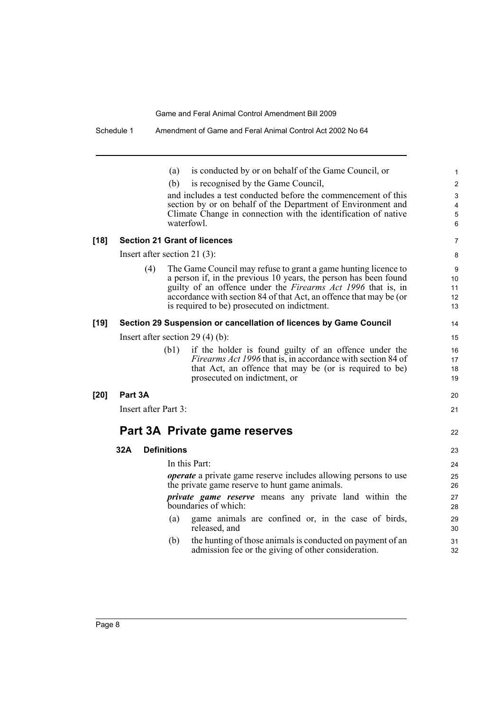|        |                      | is conducted by or on behalf of the Game Council, or<br>(a)                                                              | $\mathbf{1}$    |
|--------|----------------------|--------------------------------------------------------------------------------------------------------------------------|-----------------|
|        |                      | (b)<br>is recognised by the Game Council,                                                                                | $\overline{2}$  |
|        |                      | and includes a test conducted before the commencement of this                                                            | 3               |
|        |                      | section by or on behalf of the Department of Environment and                                                             | 4               |
|        |                      | Climate Change in connection with the identification of native<br>waterfowl.                                             | 5<br>6          |
| $[18]$ |                      | <b>Section 21 Grant of licences</b>                                                                                      | $\overline{7}$  |
|        |                      | Insert after section 21 $(3)$ :                                                                                          | 8               |
|        | (4)                  | The Game Council may refuse to grant a game hunting licence to                                                           | 9               |
|        |                      | a person if, in the previous 10 years, the person has been found                                                         | 10 <sup>°</sup> |
|        |                      | guilty of an offence under the <i>Firearms Act 1996</i> that is, in                                                      | 11              |
|        |                      | accordance with section 84 of that Act, an offence that may be (or<br>is required to be) prosecuted on indictment.       | 12<br>13        |
|        |                      |                                                                                                                          |                 |
| $[19]$ |                      | Section 29 Suspension or cancellation of licences by Game Council                                                        | 14              |
|        |                      | Insert after section $29(4)(b)$ :                                                                                        | 15              |
|        |                      | if the holder is found guilty of an offence under the<br>(b1)                                                            | 16              |
|        |                      | <i>Firearms Act 1996</i> that is, in accordance with section 84 of                                                       | 17              |
|        |                      | that Act, an offence that may be (or is required to be)                                                                  | 18              |
|        |                      | prosecuted on indictment, or                                                                                             | 19              |
| $[20]$ | Part 3A              |                                                                                                                          | 20              |
|        | Insert after Part 3: |                                                                                                                          | 21              |
|        |                      | Part 3A Private game reserves                                                                                            | 22              |
|        | 32A                  | <b>Definitions</b>                                                                                                       | 23              |
|        |                      | In this Part:                                                                                                            | 24              |
|        |                      | <i>operate</i> a private game reserve includes allowing persons to use<br>the private game reserve to hunt game animals. | 25<br>26        |
|        |                      | <i>private</i> game reserve means any private land within the<br>boundaries of which:                                    | 27<br>28        |
|        |                      | game animals are confined or, in the case of birds,<br>(a)<br>released, and                                              | 29<br>30        |
|        |                      | the hunting of those animals is conducted on payment of an<br>(b)<br>admission fee or the giving of other consideration. | 31<br>32        |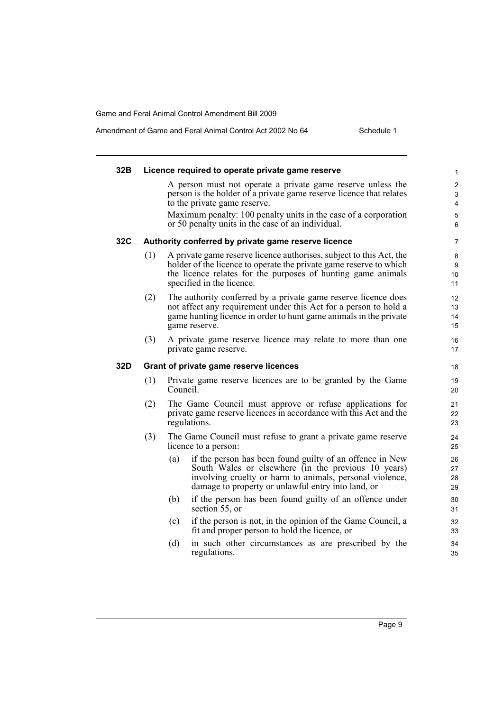## Amendment of Game and Feral Animal Control Act 2002 No 64 Schedule 1

| 32B |     | Licence required to operate private game reserve                                                                                                                                                                                         | 1                                     |
|-----|-----|------------------------------------------------------------------------------------------------------------------------------------------------------------------------------------------------------------------------------------------|---------------------------------------|
|     |     | A person must not operate a private game reserve unless the<br>person is the holder of a private game reserve licence that relates<br>to the private game reserve.                                                                       | $\overline{2}$<br>$\mathfrak{S}$<br>4 |
|     |     | Maximum penalty: 100 penalty units in the case of a corporation<br>or 50 penalty units in the case of an individual.                                                                                                                     | 5<br>6                                |
| 32C |     | Authority conferred by private game reserve licence                                                                                                                                                                                      | $\overline{7}$                        |
|     | (1) | A private game reserve licence authorises, subject to this Act, the<br>holder of the licence to operate the private game reserve to which<br>the licence relates for the purposes of hunting game animals<br>specified in the licence.   | 8<br>9<br>10<br>11                    |
|     | (2) | The authority conferred by a private game reserve licence does<br>not affect any requirement under this Act for a person to hold a<br>game hunting licence in order to hunt game animals in the private<br>game reserve.                 | 12<br>13<br>14<br>15                  |
|     | (3) | A private game reserve licence may relate to more than one<br>private game reserve.                                                                                                                                                      | 16<br>17                              |
| 32D |     | Grant of private game reserve licences                                                                                                                                                                                                   | 18                                    |
|     | (1) | Private game reserve licences are to be granted by the Game<br>Council.                                                                                                                                                                  | 19<br>20                              |
|     | (2) | The Game Council must approve or refuse applications for<br>private game reserve licences in accordance with this Act and the<br>regulations.                                                                                            | 21<br>22<br>23                        |
|     | (3) | The Game Council must refuse to grant a private game reserve<br>licence to a person:                                                                                                                                                     | 24<br>25                              |
|     |     | if the person has been found guilty of an offence in New<br>(a)<br>South Wales or elsewhere (in the previous 10 years)<br>involving cruelty or harm to animals, personal violence,<br>damage to property or unlawful entry into land, or | 26<br>27<br>28<br>29                  |
|     |     | if the person has been found guilty of an offence under<br>(b)<br>section 55, or                                                                                                                                                         | 30<br>31                              |
|     |     | if the person is not, in the opinion of the Game Council, a<br>(c)<br>fit and proper person to hold the licence, or                                                                                                                      | 32<br>33                              |
|     |     | (d)<br>in such other circumstances as are prescribed by the<br>regulations.                                                                                                                                                              | 34<br>35                              |
|     |     |                                                                                                                                                                                                                                          |                                       |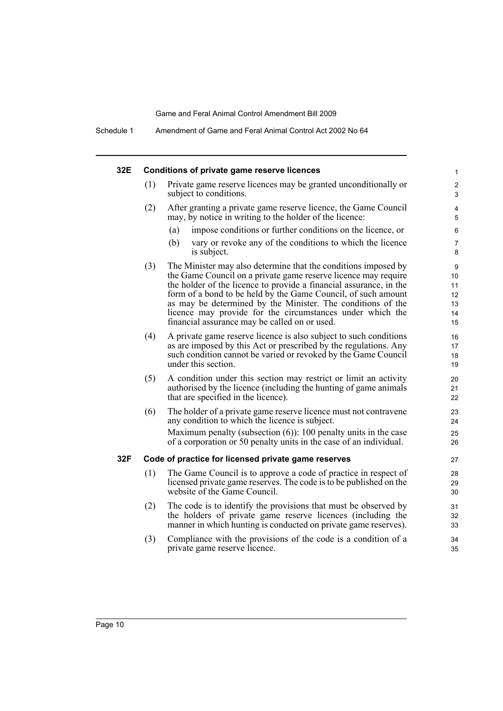Schedule 1 Amendment of Game and Feral Animal Control Act 2002 No 64

| 32E |     | Conditions of private game reserve licences                                                                                                                                                                                                                                                                                                                                                                                                          | 1                                                    |
|-----|-----|------------------------------------------------------------------------------------------------------------------------------------------------------------------------------------------------------------------------------------------------------------------------------------------------------------------------------------------------------------------------------------------------------------------------------------------------------|------------------------------------------------------|
|     | (1) | Private game reserve licences may be granted unconditionally or<br>subject to conditions.                                                                                                                                                                                                                                                                                                                                                            | 2<br>3                                               |
|     | (2) | After granting a private game reserve licence, the Game Council<br>may, by notice in writing to the holder of the licence:                                                                                                                                                                                                                                                                                                                           | 4<br>5                                               |
|     |     | (a)<br>impose conditions or further conditions on the licence, or                                                                                                                                                                                                                                                                                                                                                                                    | 6                                                    |
|     |     | vary or revoke any of the conditions to which the licence<br>(b)<br>is subject.                                                                                                                                                                                                                                                                                                                                                                      | 7<br>8                                               |
|     | (3) | The Minister may also determine that the conditions imposed by<br>the Game Council on a private game reserve licence may require<br>the holder of the licence to provide a financial assurance, in the<br>form of a bond to be held by the Game Council, of such amount<br>as may be determined by the Minister. The conditions of the<br>licence may provide for the circumstances under which the<br>financial assurance may be called on or used. | $\boldsymbol{9}$<br>10<br>11<br>12<br>13<br>14<br>15 |
|     | (4) | A private game reserve licence is also subject to such conditions<br>as are imposed by this Act or prescribed by the regulations. Any<br>such condition cannot be varied or revoked by the Game Council<br>under this section.                                                                                                                                                                                                                       | 16<br>17<br>18<br>19                                 |
|     | (5) | A condition under this section may restrict or limit an activity<br>authorised by the licence (including the hunting of game animals<br>that are specified in the licence).                                                                                                                                                                                                                                                                          | 20<br>21<br>22                                       |
|     | (6) | The holder of a private game reserve licence must not contravene<br>any condition to which the licence is subject.<br>Maximum penalty (subsection $(6)$ ): 100 penalty units in the case<br>of a corporation or 50 penalty units in the case of an individual.                                                                                                                                                                                       | 23<br>24<br>25<br>26                                 |
| 32F |     | Code of practice for licensed private game reserves                                                                                                                                                                                                                                                                                                                                                                                                  | 27                                                   |
|     | (1) | The Game Council is to approve a code of practice in respect of<br>licensed private game reserves. The code is to be published on the<br>website of the Game Council.                                                                                                                                                                                                                                                                                | 28<br>29<br>30                                       |
|     | (2) | The code is to identify the provisions that must be observed by<br>the holders of private game reserve licences (including the<br>manner in which hunting is conducted on private game reserves).                                                                                                                                                                                                                                                    | 31<br>32<br>33                                       |
|     | (3) | Compliance with the provisions of the code is a condition of a<br>private game reserve licence.                                                                                                                                                                                                                                                                                                                                                      | 34<br>35                                             |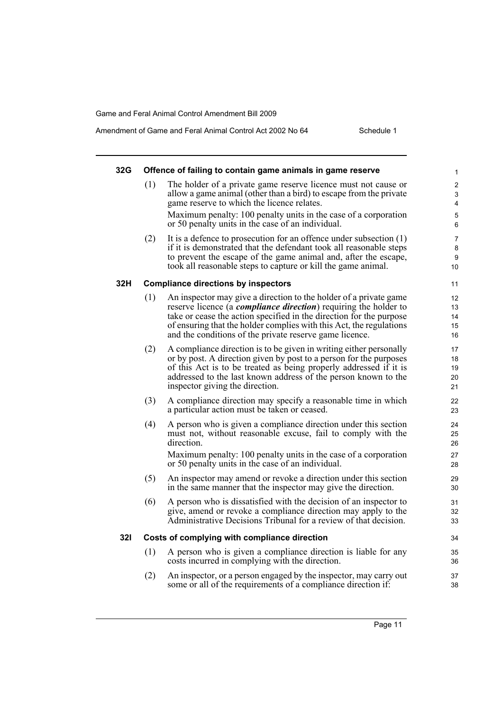| 32G |     |                                                                                                                                         |                     |
|-----|-----|-----------------------------------------------------------------------------------------------------------------------------------------|---------------------|
|     |     | Offence of failing to contain game animals in game reserve                                                                              | 1                   |
|     | (1) | The holder of a private game reserve licence must not cause or<br>allow a game animal (other than a bird) to escape from the private    | $\overline{2}$<br>3 |
|     |     | game reserve to which the licence relates.                                                                                              | 4                   |
|     |     | Maximum penalty: 100 penalty units in the case of a corporation                                                                         | 5                   |
|     |     | or 50 penalty units in the case of an individual.                                                                                       | 6                   |
|     | (2) | It is a defence to prosecution for an offence under subsection $(1)$                                                                    | 7                   |
|     |     | if it is demonstrated that the defendant took all reasonable steps                                                                      | 8                   |
|     |     | to prevent the escape of the game animal and, after the escape,                                                                         | 9                   |
|     |     | took all reasonable steps to capture or kill the game animal.                                                                           | 10                  |
| 32H |     | <b>Compliance directions by inspectors</b>                                                                                              | 11                  |
|     | (1) | An inspector may give a direction to the holder of a private game                                                                       | 12                  |
|     |     | reserve licence (a <i>compliance direction</i> ) requiring the holder to                                                                | 13                  |
|     |     | take or cease the action specified in the direction for the purpose                                                                     | 14                  |
|     |     | of ensuring that the holder complies with this Act, the regulations<br>and the conditions of the private reserve game licence.          | 15                  |
|     |     |                                                                                                                                         | 16                  |
|     | (2) | A compliance direction is to be given in writing either personally                                                                      | 17                  |
|     |     | or by post. A direction given by post to a person for the purposes<br>of this Act is to be treated as being properly addressed if it is | 18<br>19            |
|     |     | addressed to the last known address of the person known to the                                                                          | 20                  |
|     |     | inspector giving the direction.                                                                                                         | 21                  |
|     | (3) | A compliance direction may specify a reasonable time in which                                                                           | 22                  |
|     |     | a particular action must be taken or ceased.                                                                                            | 23                  |
|     | (4) | A person who is given a compliance direction under this section                                                                         | 24                  |
|     |     | must not, without reasonable excuse, fail to comply with the                                                                            | 25                  |
|     |     | direction.                                                                                                                              | 26                  |
|     |     | Maximum penalty: 100 penalty units in the case of a corporation                                                                         | 27                  |
|     |     | or 50 penalty units in the case of an individual.                                                                                       | 28                  |
|     | (5) | An inspector may amend or revoke a direction under this section                                                                         | 29                  |
|     |     | in the same manner that the inspector may give the direction.                                                                           | 30                  |
|     | (6) | A person who is dissatisfied with the decision of an inspector to                                                                       | 31                  |
|     |     | give, amend or revoke a compliance direction may apply to the                                                                           | 32                  |
|     |     | Administrative Decisions Tribunal for a review of that decision.                                                                        | 33                  |
| 32I |     | Costs of complying with compliance direction                                                                                            | 34                  |
|     | (1) | A person who is given a compliance direction is liable for any                                                                          | 35                  |
|     |     | costs incurred in complying with the direction.                                                                                         | 36                  |
|     | (2) | An inspector, or a person engaged by the inspector, may carry out                                                                       | 37                  |
|     |     | some or all of the requirements of a compliance direction if:                                                                           | 38                  |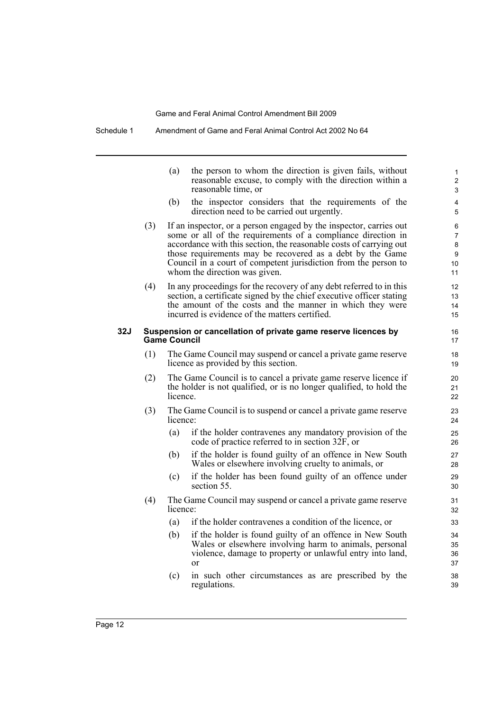Schedule 1 Amendment of Game and Feral Animal Control Act 2002 No 64

|            |     | (a)                 | the person to whom the direction is given fails, without<br>reasonable excuse, to comply with the direction within a<br>reasonable time, or                                                                                                                                                                                                                               | 1<br>2<br>3                  |
|------------|-----|---------------------|---------------------------------------------------------------------------------------------------------------------------------------------------------------------------------------------------------------------------------------------------------------------------------------------------------------------------------------------------------------------------|------------------------------|
|            |     | (b)                 | the inspector considers that the requirements of the<br>direction need to be carried out urgently.                                                                                                                                                                                                                                                                        | 4<br>5                       |
|            | (3) |                     | If an inspector, or a person engaged by the inspector, carries out<br>some or all of the requirements of a compliance direction in<br>accordance with this section, the reasonable costs of carrying out<br>those requirements may be recovered as a debt by the Game<br>Council in a court of competent jurisdiction from the person to<br>whom the direction was given. | 6<br>7<br>8<br>9<br>10<br>11 |
|            | (4) |                     | In any proceedings for the recovery of any debt referred to in this<br>section, a certificate signed by the chief executive officer stating<br>the amount of the costs and the manner in which they were<br>incurred is evidence of the matters certified.                                                                                                                | 12<br>13<br>14<br>15         |
| <b>32J</b> |     | <b>Game Council</b> | Suspension or cancellation of private game reserve licences by                                                                                                                                                                                                                                                                                                            | 16<br>17                     |
|            | (1) |                     | The Game Council may suspend or cancel a private game reserve<br>licence as provided by this section.                                                                                                                                                                                                                                                                     | 18<br>19                     |
|            | (2) | licence.            | The Game Council is to cancel a private game reserve licence if<br>the holder is not qualified, or is no longer qualified, to hold the                                                                                                                                                                                                                                    | 20<br>21<br>22               |
|            | (3) | licence:            | The Game Council is to suspend or cancel a private game reserve                                                                                                                                                                                                                                                                                                           | 23<br>24                     |
|            |     | (a)                 | if the holder contravenes any mandatory provision of the<br>code of practice referred to in section $32F$ , or                                                                                                                                                                                                                                                            | 25<br>26                     |
|            |     | (b)                 | if the holder is found guilty of an offence in New South<br>Wales or elsewhere involving cruelty to animals, or                                                                                                                                                                                                                                                           | 27<br>28                     |
|            |     | (c)                 | if the holder has been found guilty of an offence under<br>section 55.                                                                                                                                                                                                                                                                                                    | 29<br>30                     |
|            | (4) | licence:            | The Game Council may suspend or cancel a private game reserve                                                                                                                                                                                                                                                                                                             | 31<br>32                     |
|            |     | (a)                 | if the holder contravenes a condition of the licence, or                                                                                                                                                                                                                                                                                                                  | 33                           |
|            |     | (b)                 | if the holder is found guilty of an offence in New South<br>Wales or elsewhere involving harm to animals, personal<br>violence, damage to property or unlawful entry into land,<br><sub>or</sub>                                                                                                                                                                          | 34<br>35<br>36<br>37         |
|            |     | (c)                 | in such other circumstances as are prescribed by the<br>regulations.                                                                                                                                                                                                                                                                                                      | 38<br>39                     |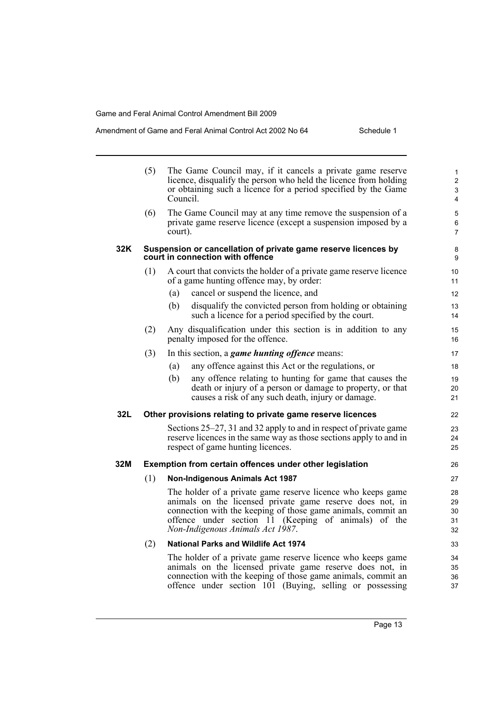#### Amendment of Game and Feral Animal Control Act 2002 No 64 Schedule 1

|     | (5) | The Game Council may, if it cancels a private game reserve<br>licence, disqualify the person who held the licence from holding<br>or obtaining such a licence for a period specified by the Game<br>Council.                                                                         | $\mathbf{1}$<br>$\overline{2}$<br>3<br>4 |
|-----|-----|--------------------------------------------------------------------------------------------------------------------------------------------------------------------------------------------------------------------------------------------------------------------------------------|------------------------------------------|
|     | (6) | The Game Council may at any time remove the suspension of a<br>private game reserve licence (except a suspension imposed by a<br>court).                                                                                                                                             | 5<br>6<br>$\overline{7}$                 |
| 32K |     | Suspension or cancellation of private game reserve licences by<br>court in connection with offence                                                                                                                                                                                   | 8<br>9                                   |
|     | (1) | A court that convicts the holder of a private game reserve licence<br>of a game hunting offence may, by order:                                                                                                                                                                       | 10<br>11                                 |
|     |     | cancel or suspend the licence, and<br>(a)                                                                                                                                                                                                                                            | 12                                       |
|     |     | (b)<br>disqualify the convicted person from holding or obtaining<br>such a licence for a period specified by the court.                                                                                                                                                              | 13<br>14                                 |
|     | (2) | Any disqualification under this section is in addition to any<br>penalty imposed for the offence.                                                                                                                                                                                    | 15<br>16                                 |
|     | (3) | In this section, a <i>game hunting offence</i> means:                                                                                                                                                                                                                                | 17                                       |
|     |     | any offence against this Act or the regulations, or<br>(a)                                                                                                                                                                                                                           | 18                                       |
|     |     | any offence relating to hunting for game that causes the<br>(b)<br>death or injury of a person or damage to property, or that<br>causes a risk of any such death, injury or damage.                                                                                                  | 19<br>20<br>21                           |
| 32L |     | Other provisions relating to private game reserve licences                                                                                                                                                                                                                           | 22                                       |
|     |     | Sections 25–27, 31 and 32 apply to and in respect of private game<br>reserve licences in the same way as those sections apply to and in<br>respect of game hunting licences.                                                                                                         | 23<br>24<br>25                           |
| 32M |     | Exemption from certain offences under other legislation                                                                                                                                                                                                                              | 26                                       |
|     | (1) | <b>Non-Indigenous Animals Act 1987</b>                                                                                                                                                                                                                                               | 27                                       |
|     |     | The holder of a private game reserve licence who keeps game<br>animals on the licensed private game reserve does not, in<br>connection with the keeping of those game animals, commit an<br>offence under section 11 (Keeping of animals) of the<br>Non-Indigenous Animals Act 1987. | 28<br>29<br>30<br>31<br>32               |
|     | (2) | <b>National Parks and Wildlife Act 1974</b>                                                                                                                                                                                                                                          | 33                                       |
|     |     | The holder of a private game reserve licence who keeps game<br>animals on the licensed private game reserve does not, in<br>connection with the keeping of those game animals, commit an<br>offence under section 101 (Buying, selling or possessing                                 | 34<br>35<br>36<br>37                     |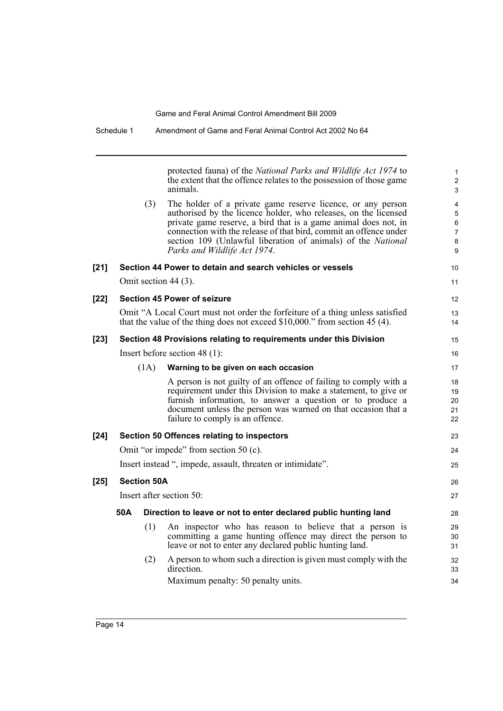|        |     |                    | protected fauna) of the National Parks and Wildlife Act 1974 to<br>the extent that the offence relates to the possession of those game<br>animals.                                                                                                                                                                                                                     | 1<br>$\overline{c}$<br>3                                      |
|--------|-----|--------------------|------------------------------------------------------------------------------------------------------------------------------------------------------------------------------------------------------------------------------------------------------------------------------------------------------------------------------------------------------------------------|---------------------------------------------------------------|
|        |     | (3)                | The holder of a private game reserve licence, or any person<br>authorised by the licence holder, who releases, on the licensed<br>private game reserve, a bird that is a game animal does not, in<br>connection with the release of that bird, commit an offence under<br>section 109 (Unlawful liberation of animals) of the National<br>Parks and Wildlife Act 1974. | $\overline{\mathbf{4}}$<br>5<br>6<br>$\overline{7}$<br>8<br>9 |
| $[21]$ |     |                    | Section 44 Power to detain and search vehicles or vessels                                                                                                                                                                                                                                                                                                              | 10                                                            |
|        |     |                    | Omit section 44 (3).                                                                                                                                                                                                                                                                                                                                                   | 11                                                            |
| [22]   |     |                    | <b>Section 45 Power of seizure</b>                                                                                                                                                                                                                                                                                                                                     | 12                                                            |
|        |     |                    | Omit "A Local Court must not order the forfeiture of a thing unless satisfied<br>that the value of the thing does not exceed $$10,000."$ from section 45 (4).                                                                                                                                                                                                          | 13<br>14                                                      |
| [23]   |     |                    | Section 48 Provisions relating to requirements under this Division                                                                                                                                                                                                                                                                                                     | 15                                                            |
|        |     |                    | Insert before section 48 $(1)$ :                                                                                                                                                                                                                                                                                                                                       | 16                                                            |
|        |     | (1A)               | Warning to be given on each occasion                                                                                                                                                                                                                                                                                                                                   | 17                                                            |
|        |     |                    | A person is not guilty of an offence of failing to comply with a<br>requirement under this Division to make a statement, to give or<br>furnish information, to answer a question or to produce a<br>document unless the person was warned on that occasion that a<br>failure to comply is an offence.                                                                  | 18<br>19<br>20<br>21<br>22                                    |
| $[24]$ |     |                    | Section 50 Offences relating to inspectors                                                                                                                                                                                                                                                                                                                             | 23                                                            |
|        |     |                    | Omit "or impede" from section 50 (c).                                                                                                                                                                                                                                                                                                                                  | 24                                                            |
|        |     |                    | Insert instead ", impede, assault, threaten or intimidate".                                                                                                                                                                                                                                                                                                            | 25                                                            |
| $[25]$ |     | <b>Section 50A</b> |                                                                                                                                                                                                                                                                                                                                                                        | 26                                                            |
|        |     |                    | Insert after section 50:                                                                                                                                                                                                                                                                                                                                               | 27                                                            |
|        | 50A |                    | Direction to leave or not to enter declared public hunting land                                                                                                                                                                                                                                                                                                        | 28                                                            |
|        |     | (1)                | An inspector who has reason to believe that a person is<br>committing a game hunting offence may direct the person to<br>leave or not to enter any declared public hunting land.                                                                                                                                                                                       | 29<br>30<br>31                                                |
|        |     | (2)                | A person to whom such a direction is given must comply with the<br>direction.<br>Maximum penalty: 50 penalty units.                                                                                                                                                                                                                                                    | 32<br>33<br>34                                                |
|        |     |                    |                                                                                                                                                                                                                                                                                                                                                                        |                                                               |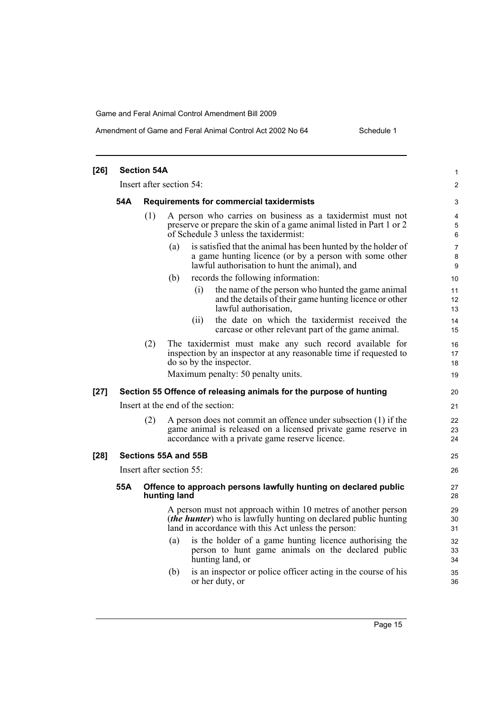#### Amendment of Game and Feral Animal Control Act 2002 No 64 Schedule 1

| $[26]$ | <b>Section 54A</b>       |     |                                                                                                                                                                                                | 1                        |
|--------|--------------------------|-----|------------------------------------------------------------------------------------------------------------------------------------------------------------------------------------------------|--------------------------|
|        | Insert after section 54: |     |                                                                                                                                                                                                | $\overline{\mathbf{c}}$  |
|        | 54A                      |     | Requirements for commercial taxidermists                                                                                                                                                       | 3                        |
|        |                          | (1) | A person who carries on business as a taxidermist must not<br>preserve or prepare the skin of a game animal listed in Part 1 or 2<br>of Schedule 3 unless the taxidermist:                     | 4<br>5<br>$\,6\,$        |
|        |                          |     | is satisfied that the animal has been hunted by the holder of<br>(a)<br>a game hunting licence (or by a person with some other<br>lawful authorisation to hunt the animal), and                | $\overline{7}$<br>8<br>9 |
|        |                          |     | records the following information:<br>(b)                                                                                                                                                      | 10                       |
|        |                          |     | the name of the person who hunted the game animal<br>(i)<br>and the details of their game hunting licence or other<br>lawful authorisation,                                                    | 11<br>12<br>13           |
|        |                          |     | the date on which the taxidermist received the<br>(ii)<br>carcase or other relevant part of the game animal.                                                                                   | 14<br>15                 |
|        |                          | (2) | The taxidermist must make any such record available for<br>inspection by an inspector at any reasonable time if requested to<br>do so by the inspector.                                        | 16<br>17<br>18           |
|        |                          |     | Maximum penalty: 50 penalty units.                                                                                                                                                             | 19                       |
| $[27]$ |                          |     | Section 55 Offence of releasing animals for the purpose of hunting                                                                                                                             | 20                       |
|        |                          |     | Insert at the end of the section:                                                                                                                                                              | 21                       |
|        |                          | (2) | A person does not commit an offence under subsection (1) if the<br>game animal is released on a licensed private game reserve in<br>accordance with a private game reserve licence.            | 22<br>23<br>24           |
| $[28]$ |                          |     | Sections 55A and 55B                                                                                                                                                                           | 25                       |
|        |                          |     | Insert after section 55:                                                                                                                                                                       | 26                       |
|        | 55A                      |     | Offence to approach persons lawfully hunting on declared public<br>hunting land                                                                                                                | 27<br>28                 |
|        |                          |     | A person must not approach within 10 metres of another person<br><i>(the hunter)</i> who is lawfully hunting on declared public hunting<br>land in accordance with this Act unless the person: | 29<br>30<br>31           |
|        |                          |     | is the holder of a game hunting licence authorising the<br>(a)<br>person to hunt game animals on the declared public<br>hunting land, or                                                       | 32<br>33<br>34           |
|        |                          |     | is an inspector or police officer acting in the course of his<br>(b)<br>or her duty, or                                                                                                        | 35<br>36                 |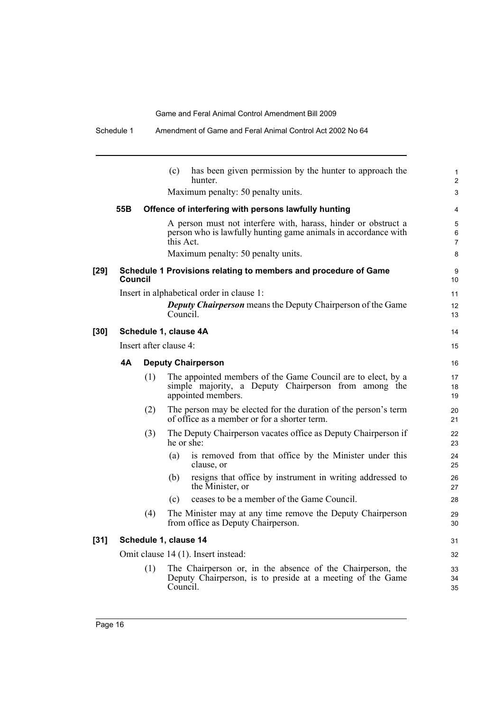|        | Schedule 1     |     | Amendment of Game and Feral Animal Control Act 2002 No 64                                                                                     |                          |
|--------|----------------|-----|-----------------------------------------------------------------------------------------------------------------------------------------------|--------------------------|
|        |                |     | has been given permission by the hunter to approach the<br>(c)<br>hunter.                                                                     | $\mathbf{1}$<br>2        |
|        |                |     | Maximum penalty: 50 penalty units.                                                                                                            | 3                        |
|        | 55B            |     | Offence of interfering with persons lawfully hunting                                                                                          | 4                        |
|        |                |     | A person must not interfere with, harass, hinder or obstruct a<br>person who is lawfully hunting game animals in accordance with<br>this Act. | 5<br>6<br>$\overline{7}$ |
|        |                |     | Maximum penalty: 50 penalty units.                                                                                                            | 8                        |
| $[29]$ | <b>Council</b> |     | Schedule 1 Provisions relating to members and procedure of Game                                                                               | 9<br>10                  |
|        |                |     | Insert in alphabetical order in clause 1:                                                                                                     | 11                       |
|        |                |     | <b>Deputy Chairperson</b> means the Deputy Chairperson of the Game<br>Council.                                                                | 12<br>13                 |
| [30]   |                |     | Schedule 1, clause 4A                                                                                                                         | 14                       |
|        |                |     | Insert after clause 4:                                                                                                                        | 15                       |
|        | 4A             |     | <b>Deputy Chairperson</b>                                                                                                                     | 16                       |
|        |                | (1) | The appointed members of the Game Council are to elect, by a<br>simple majority, a Deputy Chairperson from among the<br>appointed members.    | 17<br>18<br>19           |
|        |                | (2) | The person may be elected for the duration of the person's term<br>of office as a member or for a shorter term.                               | 20<br>21                 |
|        |                | (3) | The Deputy Chairperson vacates office as Deputy Chairperson if<br>he or she:                                                                  | 22<br>23                 |
|        |                |     | is removed from that office by the Minister under this<br>(a)<br>clause, or                                                                   | 24<br>25                 |
|        |                |     | resigns that office by instrument in writing addressed to<br>(b)<br>the Minister, or                                                          | 26<br>27                 |
|        |                |     | ceases to be a member of the Game Council.<br>(c)                                                                                             | 28                       |
|        |                | (4) | The Minister may at any time remove the Deputy Chairperson<br>from office as Deputy Chairperson.                                              | 29<br>30                 |
| $[31]$ |                |     | Schedule 1, clause 14                                                                                                                         | 31                       |
|        |                |     | Omit clause 14 (1). Insert instead:                                                                                                           | 32                       |
|        |                | (1) | The Chairperson or, in the absence of the Chairperson, the<br>Deputy Chairperson, is to preside at a meeting of the Game<br>Council.          | 33<br>34<br>35           |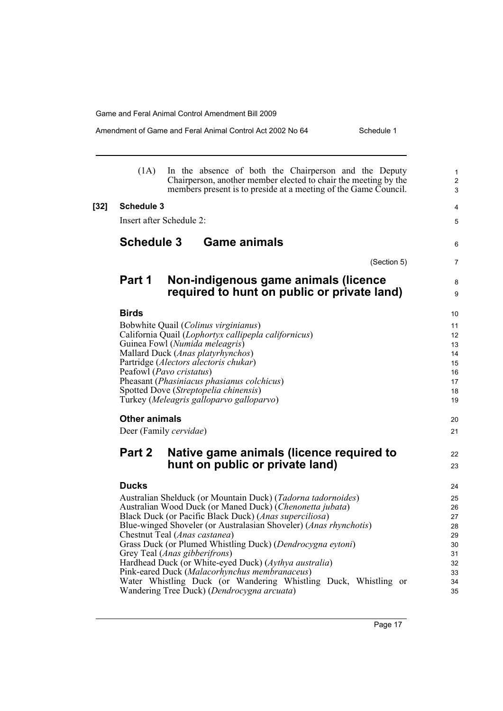Amendment of Game and Feral Animal Control Act 2002 No 64 Schedule 1

|        | (1A)                 | In the absence of both the Chairperson and the Deputy<br>Chairperson, another member elected to chair the meeting by the<br>members present is to preside at a meeting of the Game Council. | $\mathbf{1}$<br>$\overline{c}$<br>3 |
|--------|----------------------|---------------------------------------------------------------------------------------------------------------------------------------------------------------------------------------------|-------------------------------------|
| $[32]$ | <b>Schedule 3</b>    |                                                                                                                                                                                             | 4                                   |
|        |                      | Insert after Schedule 2:                                                                                                                                                                    | 5                                   |
|        | <b>Schedule 3</b>    | <b>Game animals</b>                                                                                                                                                                         | 6                                   |
|        |                      | (Section 5)                                                                                                                                                                                 | 7                                   |
|        | Part 1               | Non-indigenous game animals (licence<br>required to hunt on public or private land)                                                                                                         | 8<br>9                              |
|        | <b>Birds</b>         |                                                                                                                                                                                             | 10                                  |
|        |                      | Bobwhite Quail (Colinus virginianus)                                                                                                                                                        | 11                                  |
|        |                      | California Quail (Lophortyx callipepla californicus)                                                                                                                                        | 12                                  |
|        |                      | Guinea Fowl (Numida meleagris)<br>Mallard Duck (Anas platyrhynchos)                                                                                                                         | 13<br>14                            |
|        |                      | Partridge (Alectors alectoris chukar)                                                                                                                                                       | 15                                  |
|        |                      | Peafowl (Pavo cristatus)                                                                                                                                                                    | 16                                  |
|        |                      | Pheasant (Phasiniacus phasianus colchicus)                                                                                                                                                  | 17                                  |
|        |                      | Spotted Dove (Streptopelia chinensis)<br>Turkey (Meleagris galloparvo galloparvo)                                                                                                           | 18<br>19                            |
|        | <b>Other animals</b> |                                                                                                                                                                                             | 20                                  |
|        |                      | Deer (Family cervidae)                                                                                                                                                                      | 21                                  |
|        | Part 2               | Native game animals (licence required to                                                                                                                                                    | 22                                  |
|        |                      | hunt on public or private land)                                                                                                                                                             | 23                                  |
|        | <b>Ducks</b>         |                                                                                                                                                                                             | 24                                  |
|        |                      | Australian Shelduck (or Mountain Duck) (Tadorna tadornoides)                                                                                                                                | 25                                  |
|        |                      | Australian Wood Duck (or Maned Duck) (Chenonetta jubata)                                                                                                                                    | 26                                  |
|        |                      | Black Duck (or Pacific Black Duck) (Anas superciliosa)<br>Blue-winged Shoveler (or Australasian Shoveler) ( <i>Anas rhynchotis</i> )                                                        | 27<br>28                            |
|        |                      | Chestnut Teal (Anas castanea)                                                                                                                                                               | 29                                  |
|        |                      | Grass Duck (or Plumed Whistling Duck) (Dendrocygna eytoni)                                                                                                                                  | 30                                  |
|        |                      | Grey Teal ( <i>Anas gibberifrons</i> )                                                                                                                                                      | 31                                  |
|        |                      | Hardhead Duck (or White-eyed Duck) (Aythya australia)                                                                                                                                       | 32                                  |
|        |                      | Pink-eared Duck (Malacorhynchus membranaceus)<br>Water Whistling Duck (or Wandering Whistling Duck, Whistling or                                                                            | 33<br>34                            |
|        |                      | Wandering Tree Duck) (Dendrocygna arcuata)                                                                                                                                                  | 35                                  |

Page 17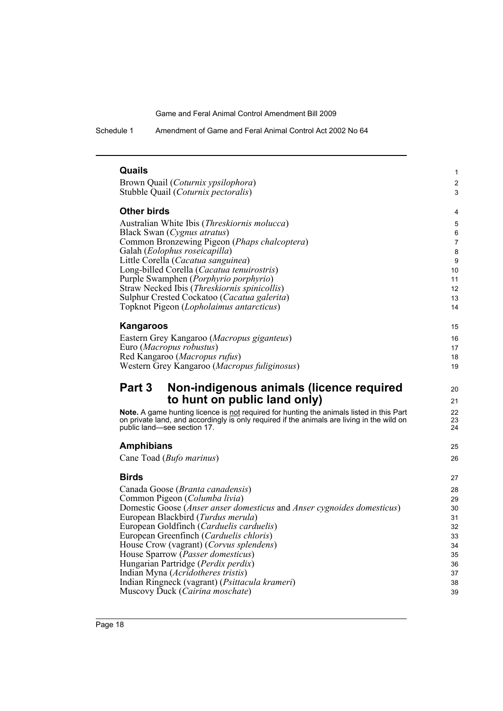Schedule 1 Amendment of Game and Feral Animal Control Act 2002 No 64

| Quails                                                                                                                    |                |
|---------------------------------------------------------------------------------------------------------------------------|----------------|
| Brown Quail (Coturnix ypsilophora)                                                                                        | 2              |
| Stubble Quail (Coturnix pectoralis)                                                                                       | 3              |
| Other birds                                                                                                               | 4              |
| Australian White Ibis (Threskiornis molucca)                                                                              | 5              |
| Black Swan (Cygnus atratus)                                                                                               |                |
| Common Bronzewing Pigeon (Phaps chalcoptera)                                                                              | $\overline{7}$ |
| Galah (Eolophus roseicapilla)<br>Little Corella (Cacatua sanguinea)                                                       | 8<br>9         |
| Long-billed Corella (Cacatua tenuirostris)                                                                                | 10             |
| Purple Swamphen (Porphyrio porphyrio)                                                                                     | 11             |
| Straw Necked Ibis (Threskiornis spinicollis)                                                                              | 12             |
| Sulphur Crested Cockatoo (Cacatua galerita)                                                                               | 13             |
| Topknot Pigeon (Lopholaimus antarcticus)                                                                                  | 14             |
| <b>Kangaroos</b>                                                                                                          | 15             |
| Eastern Grey Kangaroo (Macropus giganteus)                                                                                | 16             |
| Euro (Macropus robustus)                                                                                                  | 17             |
| Red Kangaroo (Macropus rufus)                                                                                             | 18             |
| Western Grey Kangaroo (Macropus fuliginosus)                                                                              | 19             |
| Part 3<br>Non-indigenous animals (licence required                                                                        | 20             |
| to hunt on public land only)                                                                                              | 21             |
| Note. A game hunting licence is not required for hunting the animals listed in this Part                                  | 22             |
| on private land, and accordingly is only required if the animals are living in the wild on<br>public land—see section 17. | 23<br>24       |
| <b>Amphibians</b>                                                                                                         | 25             |
| Cane Toad (Bufo marinus)                                                                                                  | 26             |
| <b>Birds</b>                                                                                                              | 27             |
| Canada Goose (Branta canadensis)                                                                                          | 28             |
| Common Pigeon (Columba livia)                                                                                             | 29             |
| Domestic Goose (Anser anser domesticus and Anser cygnoides domesticus)                                                    | 30             |
| European Blackbird (Turdus merula)                                                                                        | 31             |
| European Goldfinch (Carduelis carduelis)<br>European Greenfinch (Carduelis chloris)                                       | 32<br>33       |
| House Crow (vagrant) (Corvus splendens)                                                                                   | 34             |
| House Sparrow (Passer domesticus)                                                                                         | 35             |
| Hungarian Partridge (Perdix perdix)                                                                                       | 36             |
|                                                                                                                           |                |
| Indian Myna ( <i>Acridotheres tristis</i> )                                                                               | 37             |
| Indian Ringneck (vagrant) (Psittacula krameri)<br>Muscovy Duck (Cairina moschate)                                         | 38<br>39       |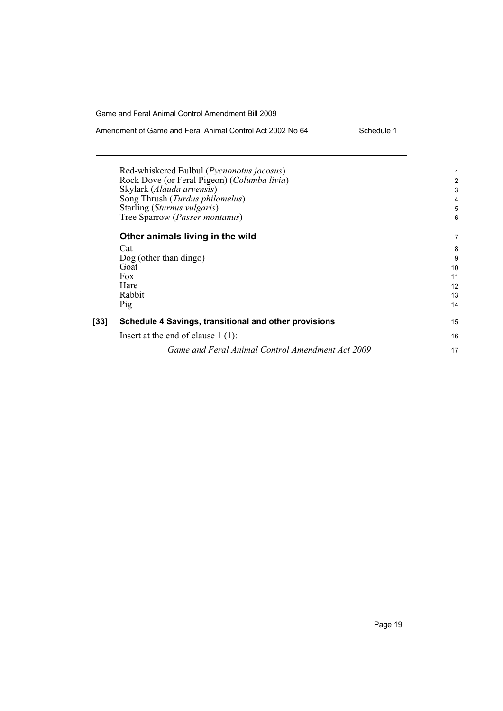| Amendment of Game and Feral Animal Control Act 2002 No 64 | Schedule 1 |
|-----------------------------------------------------------|------------|
|                                                           |            |

|      | Red-whiskered Bulbul ( <i>Pycnonotus jocosus</i> )<br>Rock Dove (or Feral Pigeon) (Columba livia) | 2  |
|------|---------------------------------------------------------------------------------------------------|----|
|      | Skylark (Alauda arvensis)                                                                         | 3  |
|      | Song Thrush (Turdus philomelus)                                                                   | 4  |
|      | Starling (Sturnus vulgaris)                                                                       | 5  |
|      | Tree Sparrow (Passer montanus)                                                                    | 6  |
|      | Other animals living in the wild                                                                  | 7  |
|      | Cat                                                                                               | 8  |
|      | Dog (other than dingo)                                                                            | 9  |
|      | Goat                                                                                              | 10 |
|      | Fox                                                                                               | 11 |
|      | Hare                                                                                              | 12 |
|      | Rabbit                                                                                            | 13 |
|      | Pig                                                                                               | 14 |
| [33] | Schedule 4 Savings, transitional and other provisions                                             | 15 |
|      | Insert at the end of clause $1(1)$ :                                                              | 16 |
|      | Game and Feral Animal Control Amendment Act 2009                                                  | 17 |
|      |                                                                                                   |    |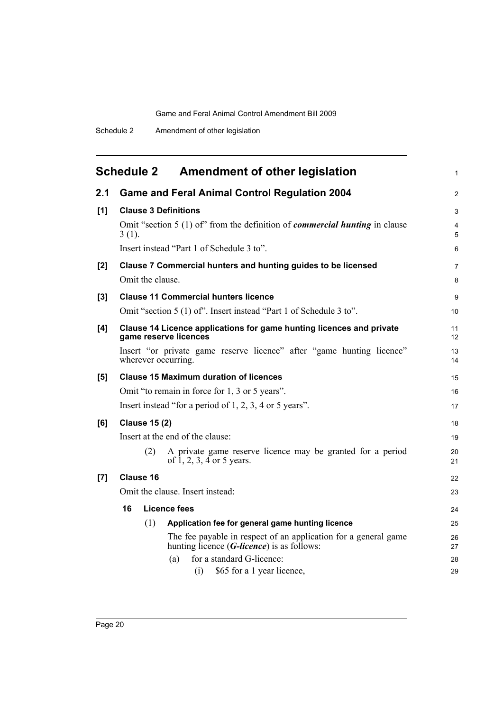<span id="page-25-0"></span>

|       | <b>Schedule 2</b>           | <b>Amendment of other legislation</b>                                                                                     | $\mathbf{1}$   |
|-------|-----------------------------|---------------------------------------------------------------------------------------------------------------------------|----------------|
| 2.1   |                             | <b>Game and Feral Animal Control Regulation 2004</b>                                                                      | $\overline{2}$ |
| [1]   | <b>Clause 3 Definitions</b> |                                                                                                                           | 3              |
|       | $3(1)$ .                    | Omit "section $5(1)$ of" from the definition of <i>commercial hunting</i> in clause                                       | 4<br>5         |
|       |                             | Insert instead "Part 1 of Schedule 3 to".                                                                                 | 6              |
| $[2]$ |                             | Clause 7 Commercial hunters and hunting guides to be licensed                                                             | $\overline{7}$ |
|       | Omit the clause.            |                                                                                                                           | 8              |
| $[3]$ |                             | <b>Clause 11 Commercial hunters licence</b>                                                                               | 9              |
|       |                             | Omit "section 5 (1) of". Insert instead "Part 1 of Schedule 3 to".                                                        | 10             |
| [4]   |                             | Clause 14 Licence applications for game hunting licences and private<br>game reserve licences                             | 11<br>12       |
|       | wherever occurring.         | Insert "or private game reserve licence" after "game hunting licence"                                                     | 13<br>14       |
| [5]   |                             | <b>Clause 15 Maximum duration of licences</b>                                                                             | 15             |
|       |                             | Omit "to remain in force for 1, 3 or 5 years".                                                                            | 16             |
|       |                             | Insert instead "for a period of 1, 2, 3, 4 or 5 years".                                                                   | 17             |
| [6]   | <b>Clause 15 (2)</b>        |                                                                                                                           | 18             |
|       |                             | Insert at the end of the clause:                                                                                          | 19             |
|       | (2)                         | A private game reserve licence may be granted for a period<br>of $1, 2, 3, 4$ or 5 years.                                 | 20<br>21       |
| $[7]$ | <b>Clause 16</b>            |                                                                                                                           | 22             |
|       |                             | Omit the clause. Insert instead:                                                                                          | 23             |
|       | 16                          | <b>Licence fees</b>                                                                                                       | 24             |
|       | (1)                         | Application fee for general game hunting licence                                                                          | 25             |
|       |                             | The fee payable in respect of an application for a general game<br>hunting licence $(G$ - <i>licence</i> ) is as follows: | 26<br>27       |
|       |                             | for a standard G-licence:<br>(a)                                                                                          | 28             |
|       |                             | \$65 for a 1 year licence,<br>(i)                                                                                         | 29             |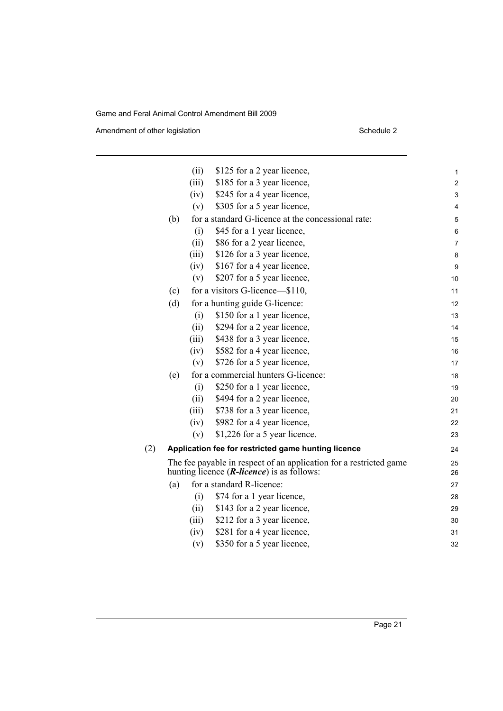Amendment of other legislation Schedule 2

|     |     | (ii)  | \$125 for a 2 year licence,                                        | 1                       |
|-----|-----|-------|--------------------------------------------------------------------|-------------------------|
|     |     | (iii) | \$185 for a 3 year licence,                                        | $\overline{\mathbf{c}}$ |
|     |     | (iv)  | \$245 for a 4 year licence,                                        | 3                       |
|     |     | (v)   | \$305 for a 5 year licence,                                        | 4                       |
|     | (b) |       | for a standard G-licence at the concessional rate:                 | 5                       |
|     |     | (i)   | \$45 for a 1 year licence,                                         | 6                       |
|     |     | (ii)  | \$86 for a 2 year licence,                                         | 7                       |
|     |     | (iii) | \$126 for a 3 year licence,                                        | 8                       |
|     |     | (iv)  | \$167 for a 4 year licence,                                        | 9                       |
|     |     | (v)   | \$207 for a 5 year licence,                                        | 10                      |
|     | (c) |       | for a visitors G-licence—\$110,                                    | 11                      |
|     | (d) |       | for a hunting guide G-licence:                                     | 12                      |
|     |     | (i)   | \$150 for a 1 year licence,                                        | 13                      |
|     |     | (ii)  | \$294 for a 2 year licence,                                        | 14                      |
|     |     | (iii) | \$438 for a 3 year licence,                                        | 15                      |
|     |     | (iv)  | \$582 for a 4 year licence,                                        | 16                      |
|     |     | (v)   | \$726 for a 5 year licence,                                        | 17                      |
|     | (e) |       | for a commercial hunters G-licence:                                | 18                      |
|     |     | (i)   | \$250 for a 1 year licence,                                        | 19                      |
|     |     | (ii)  | \$494 for a 2 year licence,                                        | 20                      |
|     |     | (iii) | \$738 for a 3 year licence,                                        | 21                      |
|     |     | (iv)  | \$982 for a 4 year licence,                                        | 22                      |
|     |     | (v)   | \$1,226 for a 5 year licence.                                      | 23                      |
| (2) |     |       | Application fee for restricted game hunting licence                | 24                      |
|     |     |       | The fee payable in respect of an application for a restricted game | 25                      |
|     |     |       | hunting licence ( <i>R-licence</i> ) is as follows:                | 26                      |
|     | (a) |       | for a standard R-licence:                                          | 27                      |
|     |     | (i)   | \$74 for a 1 year licence,                                         | 28                      |
|     |     | (ii)  | \$143 for a 2 year licence,                                        | 29                      |
|     |     | (iii) | \$212 for a 3 year licence,                                        | 30                      |
|     |     | (iv)  | \$281 for a 4 year licence,                                        | 31                      |
|     |     | (v)   | \$350 for a 5 year licence,                                        | 32                      |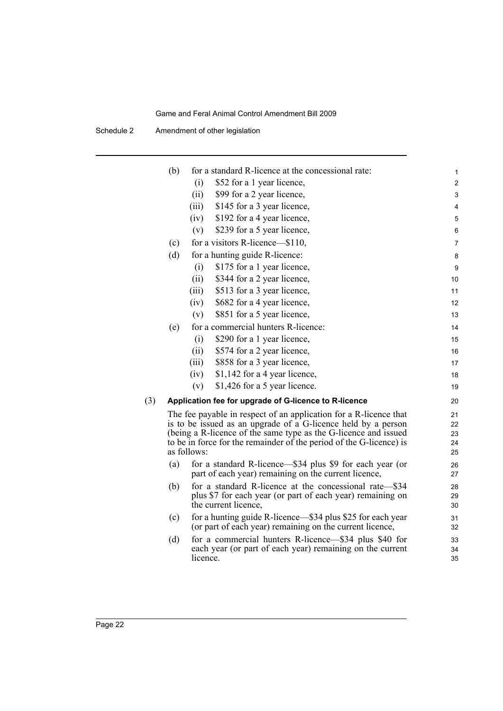Schedule 2 Amendment of other legislation

|     | (b) | for a standard R-licence at the concessional rate:                                                                                                    | 1                       |
|-----|-----|-------------------------------------------------------------------------------------------------------------------------------------------------------|-------------------------|
|     |     | \$52 for a 1 year licence,<br>(i)                                                                                                                     | $\overline{\mathbf{c}}$ |
|     |     | (ii)<br>\$99 for a 2 year licence,                                                                                                                    | 3                       |
|     |     | \$145 for a 3 year licence,<br>(iii)                                                                                                                  | 4                       |
|     |     | \$192 for a 4 year licence,<br>(iv)                                                                                                                   | 5                       |
|     |     | \$239 for a 5 year licence,<br>(v)                                                                                                                    | 6                       |
|     | (c) | for a visitors R-licence—\$110,                                                                                                                       | 7                       |
|     | (d) | for a hunting guide R-licence:                                                                                                                        | 8                       |
|     |     | \$175 for a 1 year licence,<br>(i)                                                                                                                    | 9                       |
|     |     | (ii)<br>\$344 for a 2 year licence,                                                                                                                   | 10                      |
|     |     | (iii)<br>\$513 for a 3 year licence,                                                                                                                  | 11                      |
|     |     | \$682 for a 4 year licence,<br>(iv)                                                                                                                   | 12                      |
|     |     | \$851 for a 5 year licence,<br>(v)                                                                                                                    | 13                      |
|     | (e) | for a commercial hunters R-licence:                                                                                                                   | 14                      |
|     |     | \$290 for a 1 year licence,<br>(i)                                                                                                                    | 15                      |
|     |     | (ii)<br>\$574 for a 2 year licence,                                                                                                                   | 16                      |
|     |     | (iii)<br>\$858 for a 3 year licence,                                                                                                                  | 17                      |
|     |     | \$1,142 for a 4 year licence,<br>(iv)                                                                                                                 | 18                      |
|     |     | \$1,426 for a 5 year licence.<br>(v)                                                                                                                  | 19                      |
| (3) |     | Application fee for upgrade of G-licence to R-licence                                                                                                 | 20                      |
|     |     | The fee payable in respect of an application for a R-licence that<br>is to be issued as an upgrade of a G-licence held by a person                    | 21<br>22                |
|     |     | (being a R-licence of the same type as the G-licence and issued<br>to be in force for the remainder of the period of the G-licence) is<br>as follows: | 23<br>24<br>25          |
|     | (a) | for a standard R-licence—\$34 plus \$9 for each year (or<br>part of each year) remaining on the current licence,                                      | 26<br>27                |
|     | (b) | for a standard R-licence at the concessional rate—\$34<br>plus \$7 for each year (or part of each year) remaining on<br>the current licence,          | 28<br>29<br>30          |
|     | (c) | for a hunting guide R-licence—\$34 plus \$25 for each year<br>(or part of each year) remaining on the current licence,                                | 31<br>32                |
|     | (d) | for a commercial hunters R-licence—\$34 plus \$40 for<br>each year (or part of each year) remaining on the current<br>licence.                        | 33<br>34<br>35          |
|     |     |                                                                                                                                                       |                         |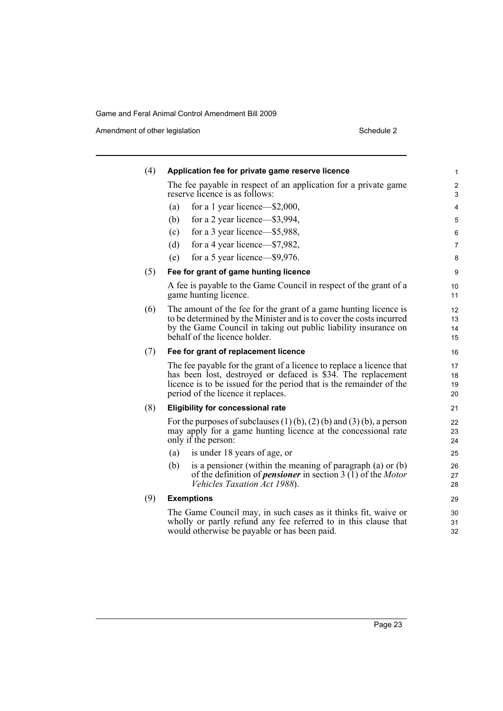Amendment of other legislation Schedule 2

| (4) | Application fee for private game reserve licence                                                                                                                                                                                                  | 1                    |
|-----|---------------------------------------------------------------------------------------------------------------------------------------------------------------------------------------------------------------------------------------------------|----------------------|
|     | The fee payable in respect of an application for a private game<br>reserve licence is as follows:                                                                                                                                                 | $\overline{c}$<br>3  |
|     | for a 1 year licence— $$2,000$ ,<br>(a)                                                                                                                                                                                                           | 4                    |
|     | (b)<br>for a 2 year licence—\$3,994,                                                                                                                                                                                                              | 5                    |
|     | for a 3 year licence—\$5,988,<br>(c)                                                                                                                                                                                                              | 6                    |
|     | (d)<br>for a 4 year licence—\$7,982,                                                                                                                                                                                                              | 7                    |
|     | for a 5 year licence—\$9,976.<br>(e)                                                                                                                                                                                                              | 8                    |
| (5) | Fee for grant of game hunting licence                                                                                                                                                                                                             | 9                    |
|     | A fee is payable to the Game Council in respect of the grant of a<br>game hunting licence.                                                                                                                                                        | 10<br>11             |
| (6) | The amount of the fee for the grant of a game hunting licence is<br>to be determined by the Minister and is to cover the costs incurred<br>by the Game Council in taking out public liability insurance on<br>behalf of the licence holder.       | 12<br>13<br>14<br>15 |
| (7) | Fee for grant of replacement licence                                                                                                                                                                                                              | 16                   |
|     | The fee payable for the grant of a licence to replace a licence that<br>has been lost, destroyed or defaced is \$34. The replacement<br>licence is to be issued for the period that is the remainder of the<br>period of the licence it replaces. | 17<br>18<br>19<br>20 |
| (8) | <b>Eligibility for concessional rate</b>                                                                                                                                                                                                          | 21                   |
|     | For the purposes of subclauses $(1)$ (b), $(2)$ (b) and $(3)$ (b), a person<br>may apply for a game hunting licence at the concessional rate<br>only if the person:                                                                               | 22<br>23<br>24       |
|     | is under 18 years of age, or<br>(a)                                                                                                                                                                                                               | 25                   |
|     | is a pensioner (within the meaning of paragraph $(a)$ or $(b)$<br>(b)<br>of the definition of <i>pensioner</i> in section $3(1)$ of the <i>Motor</i><br>Vehicles Taxation Act 1988).                                                              | 26<br>27<br>28       |
| (9) | <b>Exemptions</b>                                                                                                                                                                                                                                 | 29                   |
|     | The Game Council may, in such cases as it thinks fit, waive or<br>wholly or partly refund any fee referred to in this clause that<br>would otherwise be payable or has been paid.                                                                 | 30<br>31<br>32       |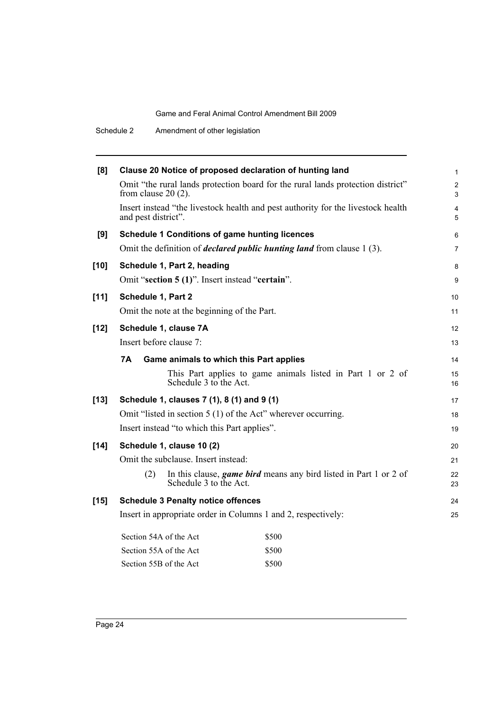| [8]    | Clause 20 Notice of proposed declaration of hunting land      |                                                       |                                                                                  |                     |
|--------|---------------------------------------------------------------|-------------------------------------------------------|----------------------------------------------------------------------------------|---------------------|
|        | from clause $20(2)$ .                                         |                                                       | Omit "the rural lands protection board for the rural lands protection district"  | $\overline{2}$<br>3 |
|        | and pest district".                                           |                                                       | Insert instead "the livestock health and pest authority for the livestock health | 4<br>5              |
| [9]    |                                                               | <b>Schedule 1 Conditions of game hunting licences</b> |                                                                                  | 6                   |
|        |                                                               |                                                       | Omit the definition of <i>declared public hunting land</i> from clause 1(3).     | $\overline{7}$      |
| $[10]$ | Schedule 1, Part 2, heading                                   |                                                       |                                                                                  | 8                   |
|        |                                                               | Omit "section 5 (1)". Insert instead "certain".       |                                                                                  | $\boldsymbol{9}$    |
| $[11]$ | Schedule 1, Part 2                                            |                                                       |                                                                                  | 10                  |
|        | Omit the note at the beginning of the Part.                   |                                                       |                                                                                  | 11                  |
| $[12]$ | Schedule 1, clause 7A                                         |                                                       |                                                                                  | 12                  |
|        | Insert before clause 7:                                       |                                                       |                                                                                  |                     |
|        | <b>7A</b><br>Game animals to which this Part applies          |                                                       |                                                                                  | 14                  |
|        |                                                               | Schedule 3 to the Act.                                | This Part applies to game animals listed in Part 1 or 2 of                       | 15<br>16            |
| $[13]$ | Schedule 1, clauses 7 (1), 8 (1) and 9 (1)                    |                                                       |                                                                                  | 17                  |
|        | Omit "listed in section 5 (1) of the Act" wherever occurring. |                                                       |                                                                                  | 18                  |
|        |                                                               | Insert instead "to which this Part applies".          |                                                                                  | 19                  |
| $[14]$ | Schedule 1, clause 10 (2)                                     |                                                       |                                                                                  | 20                  |
|        | Omit the subclause. Insert instead:                           |                                                       |                                                                                  | 21                  |
|        | (2)                                                           | Schedule 3 to the Act.                                | In this clause, <i>game bird</i> means any bird listed in Part 1 or 2 of         | 22<br>23            |
| $[15]$ | <b>Schedule 3 Penalty notice offences</b>                     |                                                       |                                                                                  | 24                  |
|        | Insert in appropriate order in Columns 1 and 2, respectively: |                                                       |                                                                                  | 25                  |
|        | Section 54A of the Act                                        |                                                       | \$500                                                                            |                     |
|        | Section 55A of the Act                                        |                                                       | \$500                                                                            |                     |
|        | Section 55B of the Act                                        |                                                       | \$500                                                                            |                     |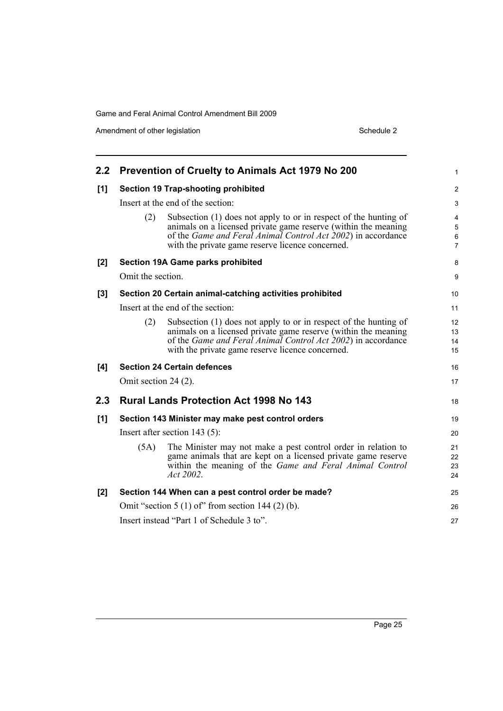Amendment of other legislation Schedule 2

| $2.2\phantom{0}$                |                                                    | <b>Prevention of Cruelty to Animals Act 1979 No 200</b>                                                                                                                                                                                                        | 1                                 |
|---------------------------------|----------------------------------------------------|----------------------------------------------------------------------------------------------------------------------------------------------------------------------------------------------------------------------------------------------------------------|-----------------------------------|
| [1]                             |                                                    | <b>Section 19 Trap-shooting prohibited</b>                                                                                                                                                                                                                     | $\overline{2}$                    |
|                                 |                                                    | Insert at the end of the section:                                                                                                                                                                                                                              |                                   |
|                                 | (2)                                                | Subsection (1) does not apply to or in respect of the hunting of<br>animals on a licensed private game reserve (within the meaning<br>of the <i>Game and Feral Animal Control Act 2002</i> ) in accordance<br>with the private game reserve licence concerned. | 4<br>5<br>$\,6$<br>$\overline{7}$ |
| [2]                             |                                                    | <b>Section 19A Game parks prohibited</b>                                                                                                                                                                                                                       | 8                                 |
|                                 | Omit the section.                                  |                                                                                                                                                                                                                                                                | $\boldsymbol{9}$                  |
| [3]                             |                                                    | Section 20 Certain animal-catching activities prohibited                                                                                                                                                                                                       | 10                                |
|                                 |                                                    | Insert at the end of the section:                                                                                                                                                                                                                              | 11                                |
|                                 | (2)                                                | Subsection (1) does not apply to or in respect of the hunting of<br>animals on a licensed private game reserve (within the meaning<br>of the <i>Game and Feral Animal Control Act 2002</i> ) in accordance<br>with the private game reserve licence concerned. | 12<br>13<br>14<br>15              |
| [4]                             |                                                    | <b>Section 24 Certain defences</b>                                                                                                                                                                                                                             | 16                                |
|                                 | Omit section 24 (2).                               |                                                                                                                                                                                                                                                                | 17                                |
| 2.3                             |                                                    | <b>Rural Lands Protection Act 1998 No 143</b>                                                                                                                                                                                                                  | 18                                |
| [1]                             |                                                    | Section 143 Minister may make pest control orders                                                                                                                                                                                                              | 19                                |
| Insert after section $143$ (5): |                                                    |                                                                                                                                                                                                                                                                | 20                                |
|                                 | (5A)                                               | The Minister may not make a pest control order in relation to<br>game animals that are kept on a licensed private game reserve<br>within the meaning of the <i>Game and Feral Animal Control</i><br>Act 2002.                                                  | 21<br>22<br>23<br>24              |
| [2]                             |                                                    | Section 144 When can a pest control order be made?                                                                                                                                                                                                             | 25                                |
|                                 | Omit "section $5(1)$ of" from section 144 (2) (b). |                                                                                                                                                                                                                                                                |                                   |
|                                 |                                                    | Insert instead "Part 1 of Schedule 3 to".                                                                                                                                                                                                                      | 27                                |